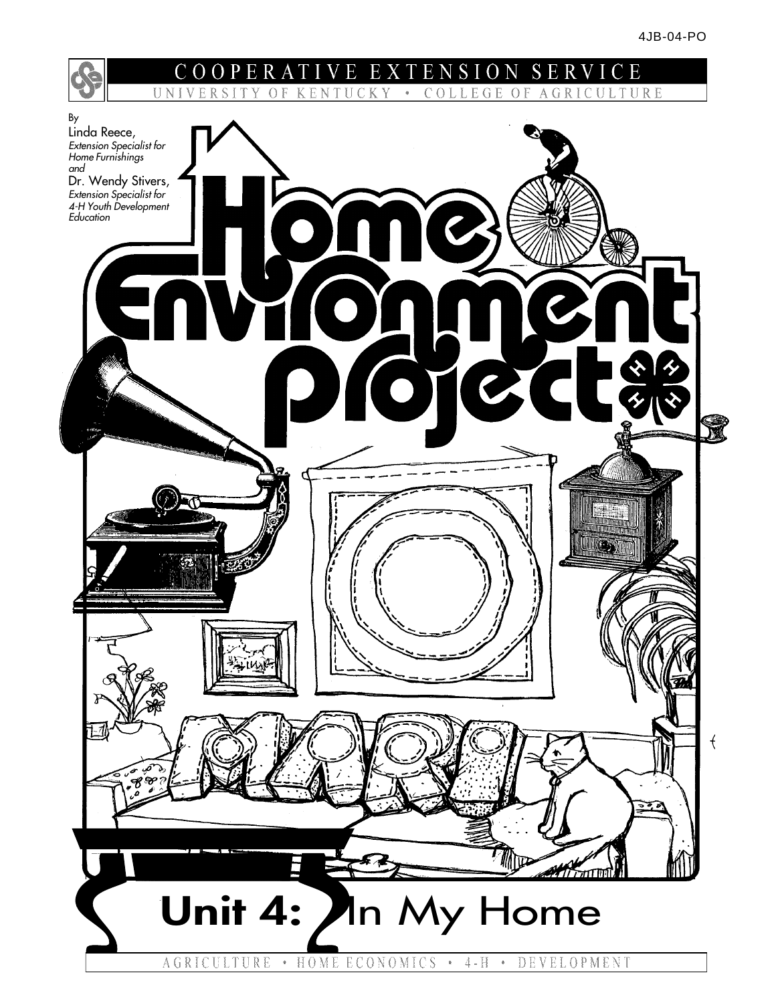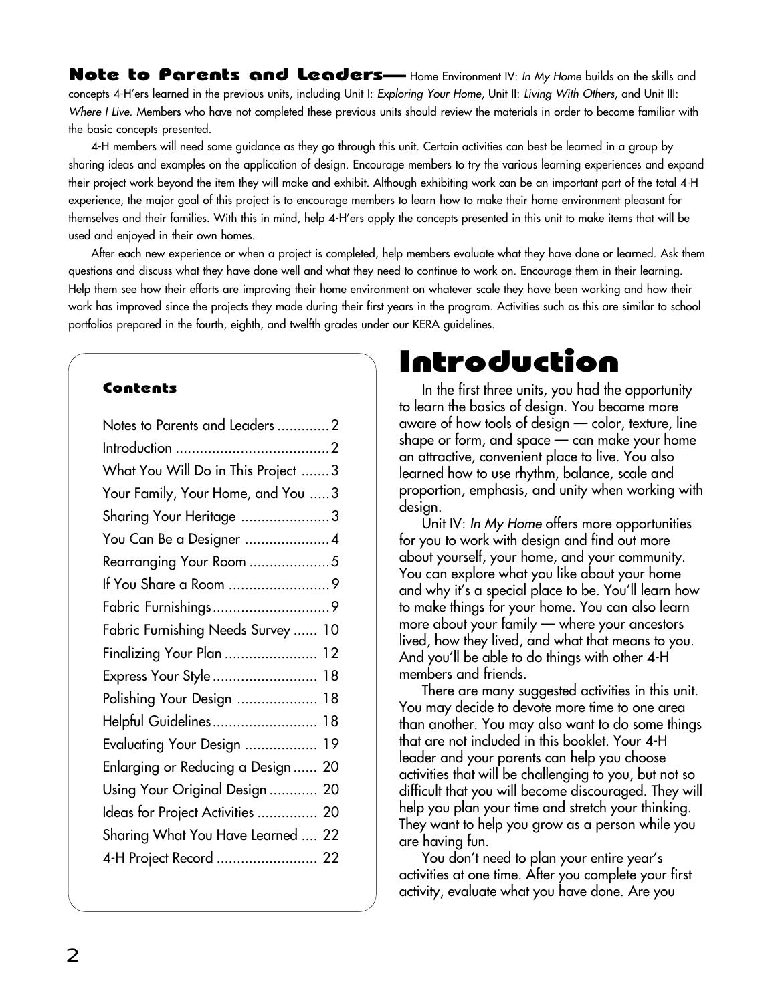Note to Parents and Leaders— Home Environment IV: In My Home builds on the skills and concepts 4-H'ers learned in the previous units, including Unit I: Exploring Your Home, Unit II: Living With Others, and Unit III: Where I Live. Members who have not completed these previous units should review the materials in order to become familiar with the basic concepts presented.

4-H members will need some guidance as they go through this unit. Certain activities can best be learned in a group by sharing ideas and examples on the application of design. Encourage members to try the various learning experiences and expand their project work beyond the item they will make and exhibit. Although exhibiting work can be an important part of the total 4-H experience, the major goal of this project is to encourage members to learn how to make their home environment pleasant for themselves and their families. With this in mind, help 4-H'ers apply the concepts presented in this unit to make items that will be used and enjoyed in their own homes.

After each new experience or when a project is completed, help members evaluate what they have done or learned. Ask them questions and discuss what they have done well and what they need to continue to work on. Encourage them in their learning. Help them see how their efforts are improving their home environment on whatever scale they have been working and how their work has improved since the projects they made during their first years in the program. Activities such as this are similar to school portfolios prepared in the fourth, eighth, and twelfth grades under our KERA guidelines.

#### Contents

| Notes to Parents and Leaders 2      |  |
|-------------------------------------|--|
|                                     |  |
| What You Will Do in This Project  3 |  |
| Your Family, Your Home, and You  3  |  |
| Sharing Your Heritage 3             |  |
| You Can Be a Designer 4             |  |
| Rearranging Your Room 5             |  |
|                                     |  |
|                                     |  |
| Fabric Furnishing Needs Survey  10  |  |
| Finalizing Your Plan  12            |  |
| Express Your Style 18               |  |
| Polishing Your Design  18           |  |
| Helpful Guidelines 18               |  |
| Evaluating Your Design  19          |  |
| Enlarging or Reducing a Design  20  |  |
| Using Your Original Design  20      |  |
| Ideas for Project Activities  20    |  |
| Sharing What You Have Learned  22   |  |
|                                     |  |
|                                     |  |

# Introduction

In the first three units, you had the opportunity to learn the basics of design. You became more aware of how tools of design — color, texture, line shape or form, and space — can make your home an attractive, convenient place to live. You also learned how to use rhythm, balance, scale and proportion, emphasis, and unity when working with design.

Unit IV: In My Home offers more opportunities for you to work with design and find out more about yourself, your home, and your community. You can explore what you like about your home and why it's a special place to be. You'll learn how to make things for your home. You can also learn more about your family — where your ancestors lived, how they lived, and what that means to you. And you'll be able to do things with other 4-H members and friends.

There are many suggested activities in this unit. You may decide to devote more time to one area than another. You may also want to do some things that are not included in this booklet. Your 4-H leader and your parents can help you choose activities that will be challenging to you, but not so difficult that you will become discouraged. They will help you plan your time and stretch your thinking. They want to help you grow as a person while you are having fun.

You don't need to plan your entire year's activities at one time. After you complete your first activity, evaluate what you have done. Are you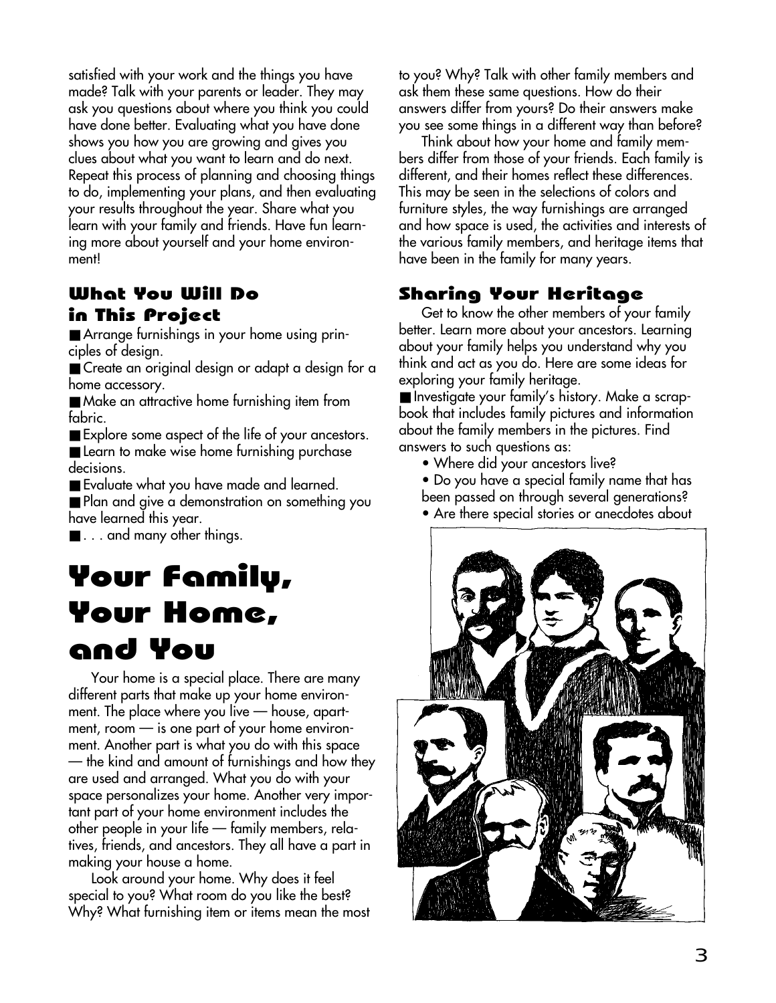satisfied with your work and the things you have made? Talk with your parents or leader. They may ask you questions about where you think you could have done better. Evaluating what you have done shows you how you are growing and gives you clues about what you want to learn and do next. Repeat this process of planning and choosing things to do, implementing your plans, and then evaluating your results throughout the year. Share what you learn with your family and friends. Have fun learning more about yourself and your home environment!

### What You Will Do in This Project

■ Arrange furnishings in your home using principles of design.

■ Create an original design or adapt a design for a home accessory.

■ Make an attractive home furnishing item from fabric.

■ Explore some aspect of the life of your ancestors.

■ Learn to make wise home furnishing purchase decisions.

■ Evaluate what you have made and learned.

■ Plan and give a demonstration on something you have learned this year.

■ . . . and many other things.

# Your Family, Your Home, and You

Your home is a special place. There are many different parts that make up your home environment. The place where you live — house, apartment, room — is one part of your home environment. Another part is what you do with this space — the kind and amount of furnishings and how they are used and arranged. What you do with your space personalizes your home. Another very important part of your home environment includes the other people in your life — family members, relatives, friends, and ancestors. They all have a part in making your house a home.

Look around your home. Why does it feel special to you? What room do you like the best? Why? What furnishing item or items mean the most to you? Why? Talk with other family members and ask them these same questions. How do their answers differ from yours? Do their answers make you see some things in a different way than before?

Think about how your home and family members differ from those of your friends. Each family is different, and their homes reflect these differences. This may be seen in the selections of colors and furniture styles, the way furnishings are arranged and how space is used, the activities and interests of the various family members, and heritage items that have been in the family for many years.

# Sharing Your Heritage

Get to know the other members of your family better. Learn more about your ancestors. Learning about your family helps you understand why you think and act as you do. Here are some ideas for exploring your family heritage.

■ Investigate your family's history. Make a scrapbook that includes family pictures and information about the family members in the pictures. Find answers to such questions as:

- Where did your ancestors live?
- Do you have a special family name that has
- been passed on through several generations?
- Are there special stories or anecdotes about

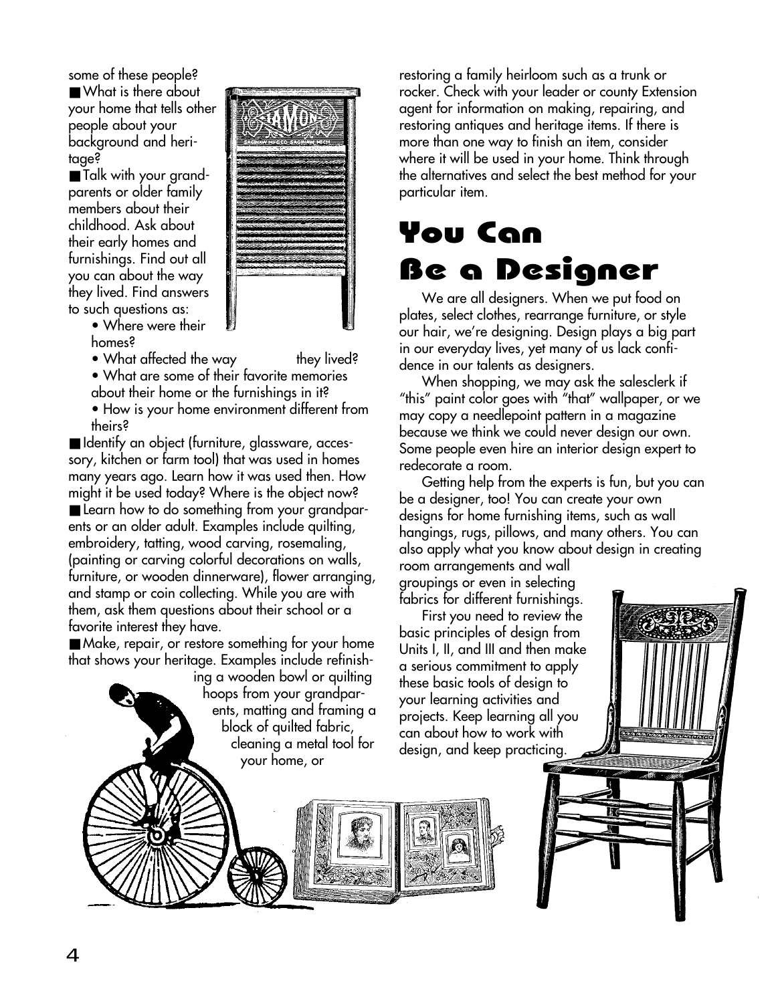some of these people? ■ What is there about your home that tells other people about your background and heritage?

■ Talk with your grandparents or older family members about their childhood. Ask about their early homes and furnishings. Find out all you can about the way they lived. Find answers to such questions as:



• Where were their homes?

• What affected the way they lived?

• What are some of their favorite memories about their home or the furnishings in it?

• How is your home environment different from theirs?

■ Identify an object (furniture, glassware, accessory, kitchen or farm tool) that was used in homes many years ago. Learn how it was used then. How might it be used today? Where is the object now? ■ Learn how to do something from your grandparents or an older adult. Examples include quilting, embroidery, tatting, wood carving, rosemaling, (painting or carving colorful decorations on walls, furniture, or wooden dinnerware), flower arranging, and stamp or coin collecting. While you are with them, ask them questions about their school or a favorite interest they have.

■ Make, repair, or restore something for your home that shows your heritage. Examples include refinish-

ing a wooden bowl or quilting hoops from your grandparents, matting and framing a block of quilted fabric, cleaning a metal tool for your home, or

restoring a family heirloom such as a trunk or rocker. Check with your leader or county Extension agent for information on making, repairing, and restoring antiques and heritage items. If there is more than one way to finish an item, consider where it will be used in your home. Think through the alternatives and select the best method for your particular item.

# You Can Be a Designer

We are all designers. When we put food on plates, select clothes, rearrange furniture, or style our hair, we're designing. Design plays a big part in our everyday lives, yet many of us lack confidence in our talents as designers.

When shopping, we may ask the salesclerk if "this" paint color goes with "that" wallpaper, or we may copy a needlepoint pattern in a magazine because we think we could never design our own. Some people even hire an interior design expert to redecorate a room.

Getting help from the experts is fun, but you can be a designer, too! You can create your own designs for home furnishing items, such as wall hangings, rugs, pillows, and many others. You can also apply what you know about design in creating

room arrangements and wall groupings or even in selecting fabrics for different furnishings.

First you need to review the basic principles of design from Units I, II, and III and then make a serious commitment to apply these basic tools of design to your learning activities and projects. Keep learning all you can about how to work with design, and keep practicing.

4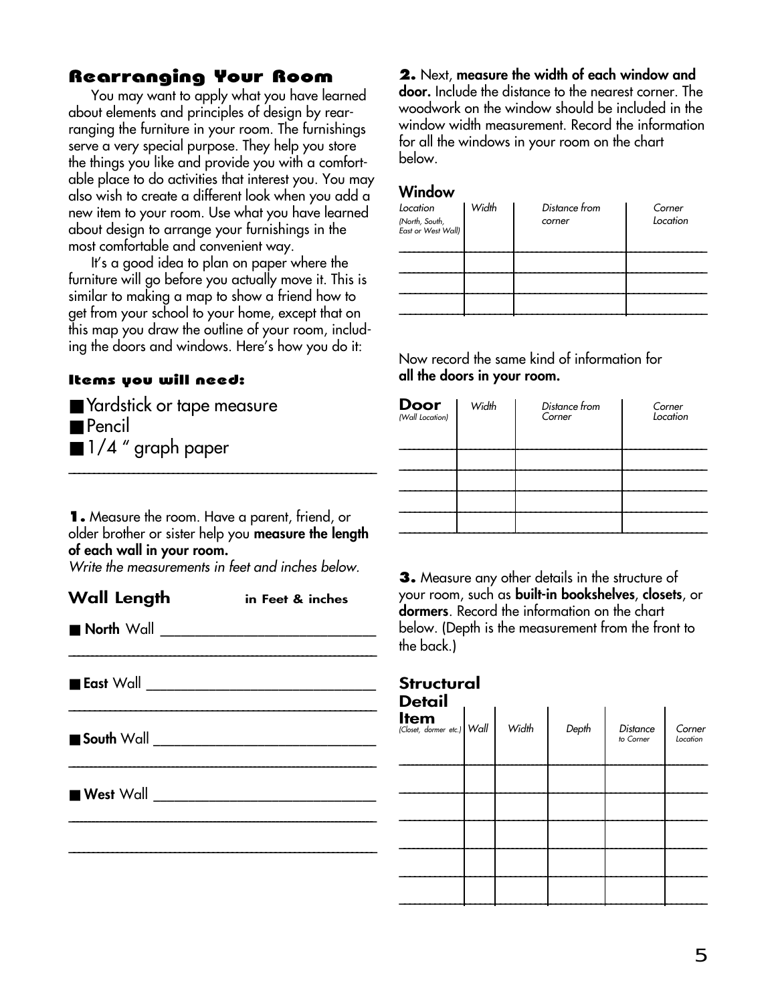### Rearranging Your Room

You may want to apply what you have learned about elements and principles of design by rearranging the furniture in your room. The furnishings serve a very special purpose. They help you store the things you like and provide you with a comfortable place to do activities that interest you. You may also wish to create a different look when you add a new item to your room. Use what you have learned about design to arrange your furnishings in the most comfortable and convenient way.

It's a good idea to plan on paper where the furniture will go before you actually move it. This is similar to making a map to show a friend how to get from your school to your home, except that on this map you draw the outline of your room, including the doors and windows. Here's how you do it:

#### Items you will need:

| Yardstick or tape measure        |  |
|----------------------------------|--|
| <b>Pencil</b>                    |  |
| $\blacksquare$ 1/4 " graph paper |  |

**1.** Measure the room. Have a parent, friend, or older brother or sister help you **measure the length of each wall in your room.**

Write the measurements in feet and inches below.

**Wall Length in Feet & inches** ■ **North** Wall \_\_\_\_\_\_\_\_\_\_\_\_\_\_\_\_\_\_\_\_\_\_\_\_\_\_\_\_\_\_\_\_\_\_\_\_\_\_\_\_\_\_\_\_\_\_\_\_\_\_\_\_\_\_\_\_\_\_\_\_\_\_\_\_\_\_\_  $\blacksquare$  **East** Wall \_\_\_\_\_\_\_\_\_\_\_\_\_\_\_\_\_\_\_\_\_\_\_\_\_\_\_\_\_\_\_\_\_\_\_\_\_\_\_\_\_\_\_\_\_\_\_\_\_\_\_\_\_\_\_\_\_\_\_\_ ■ **South** Wall \_\_\_\_\_\_\_\_\_\_\_\_\_\_\_\_\_\_\_\_\_\_\_\_\_\_\_\_\_\_\_\_

\_\_\_\_\_\_\_\_\_\_\_\_\_\_\_\_\_\_\_\_\_\_\_\_\_\_\_\_\_\_\_\_\_\_\_\_\_\_\_\_\_\_\_\_\_\_\_\_\_\_\_\_\_\_\_\_\_\_\_\_\_\_\_\_\_\_\_\_\_\_\_

\_\_\_\_\_\_\_\_\_\_\_\_\_\_\_\_\_\_\_\_\_\_\_\_\_\_\_\_\_\_\_\_\_\_\_\_\_\_\_\_\_\_\_\_\_\_\_\_\_\_\_\_\_\_\_\_\_\_\_\_\_\_\_\_\_\_\_\_\_\_\_\_\_\_\_\_\_\_

**\_\_\_\_\_\_\_\_\_\_\_\_\_\_\_\_\_\_\_\_\_\_\_\_\_\_\_\_\_\_\_\_\_\_\_\_\_\_\_\_\_\_\_\_\_\_\_\_\_\_\_\_\_\_\_\_\_\_\_\_\_\_\_\_**

■ **West** Wall \_\_\_\_\_\_\_\_\_\_\_\_\_\_\_\_\_\_\_\_\_\_\_\_\_\_\_\_\_\_\_\_

**2.** Next, **measure the width of each window and door.** Include the distance to the nearest corner. The woodwork on the window should be included in the window width measurement. Record the information for all the windows in your room on the chart below.

#### **Window**

| Location<br>(North, South,<br>East or West Wall) | Width | Distance from<br>corner | Corner<br>Location |
|--------------------------------------------------|-------|-------------------------|--------------------|
|                                                  |       |                         |                    |
|                                                  |       |                         |                    |
|                                                  |       |                         |                    |

Now record the same kind of information for **all the doors in your room.**

| <b>Door</b><br>(Wall Location) | Width | Distance from<br>Corner | Corner<br>Location |
|--------------------------------|-------|-------------------------|--------------------|
|                                |       |                         |                    |
|                                |       |                         |                    |
|                                |       |                         |                    |
|                                |       |                         |                    |

**3.** Measure any other details in the structure of your room, such as **built-in bookshelves**, **closets**, or **dormers**. Record the information on the chart below. (Depth is the measurement from the front to the back.)

### **Structural**

 $\mathcal{L}$ 

**Detail**

| <b>Detail</b>                             |       |       |                              |                    |
|-------------------------------------------|-------|-------|------------------------------|--------------------|
| <b>Item</b><br>(Closet, dormer etc.) Wall | Width | Depth | <b>Distance</b><br>to Corner | Corner<br>Location |
|                                           |       |       |                              |                    |
|                                           |       |       |                              |                    |
|                                           |       |       |                              |                    |
|                                           |       |       |                              |                    |
|                                           |       |       |                              |                    |
|                                           |       |       |                              |                    |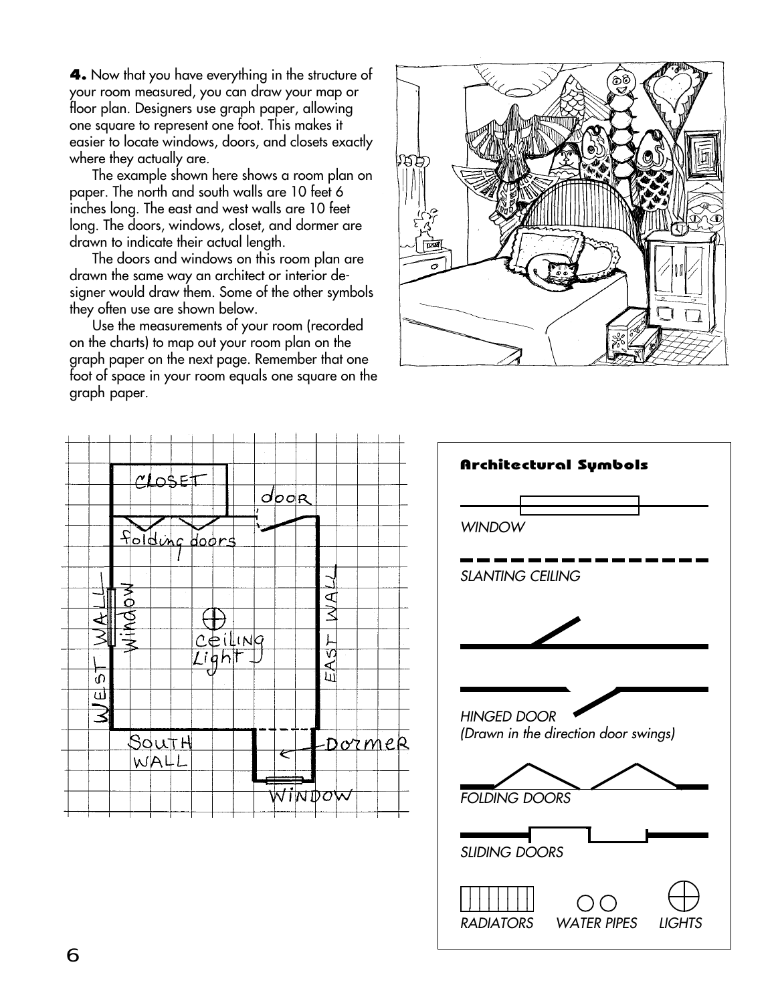**4.** Now that you have everything in the structure of your room measured, you can draw your map or floor plan. Designers use graph paper, allowing one square to represent one foot. This makes it easier to locate windows, doors, and closets exactly where they actually are.

The example shown here shows a room plan on paper. The north and south walls are 10 feet 6 inches long. The east and west walls are 10 feet long. The doors, windows, closet, and dormer are drawn to indicate their actual length.

The doors and windows on this room plan are drawn the same way an architect or interior designer would draw them. Some of the other symbols they often use are shown below.

Use the measurements of your room (recorded on the charts) to map out your room plan on the graph paper on the next page. Remember that one foot of space in your room equals one square on the graph paper.





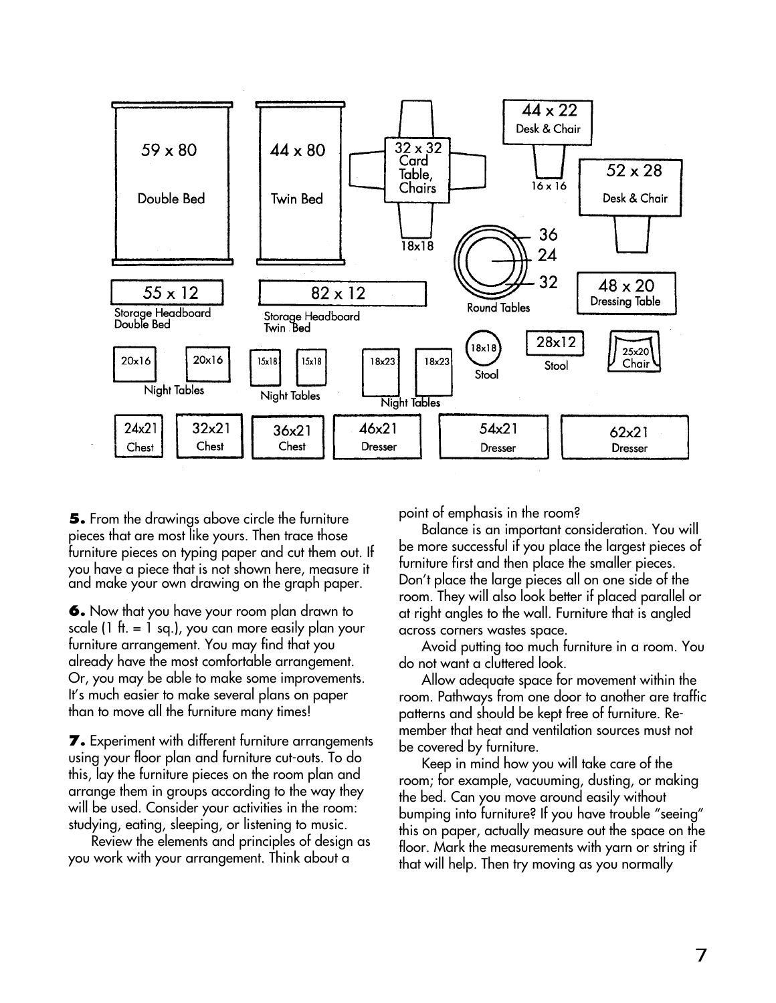

**5.** From the drawings above circle the furniture pieces that are most like yours. Then trace those furniture pieces on typing paper and cut them out. If you have a piece that is not shown here, measure it and make your own drawing on the graph paper.

**6.** Now that you have your room plan drawn to scale (1 ft.  $= 1$  sq.), you can more easily plan your furniture arrangement. You may find that you already have the most comfortable arrangement. Or, you may be able to make some improvements. It's much easier to make several plans on paper than to move all the furniture many times!

**7.** Experiment with different furniture arrangements using your floor plan and furniture cut-outs. To do this, lay the furniture pieces on the room plan and arrange them in groups according to the way they will be used. Consider your activities in the room: studying, eating, sleeping, or listening to music.

Review the elements and principles of design as you work with your arrangement. Think about a

point of emphasis in the room?

Balance is an important consideration. You will be more successful if you place the largest pieces of furniture first and then place the smaller pieces. Don't place the large pieces all on one side of the room. They will also look better if placed parallel or at right angles to the wall. Furniture that is angled across corners wastes space.

Avoid putting too much furniture in a room. You do not want a cluttered look.

Allow adequate space for movement within the room. Pathways from one door to another are traffic patterns and should be kept free of furniture. Remember that heat and ventilation sources must not be covered by furniture.

Keep in mind how you will take care of the room; for example, vacuuming, dusting, or making the bed. Can you move around easily without bumping into furniture? If you have trouble "seeing" this on paper, actually measure out the space on the floor. Mark the measurements with yarn or string if that will help. Then try moving as you normally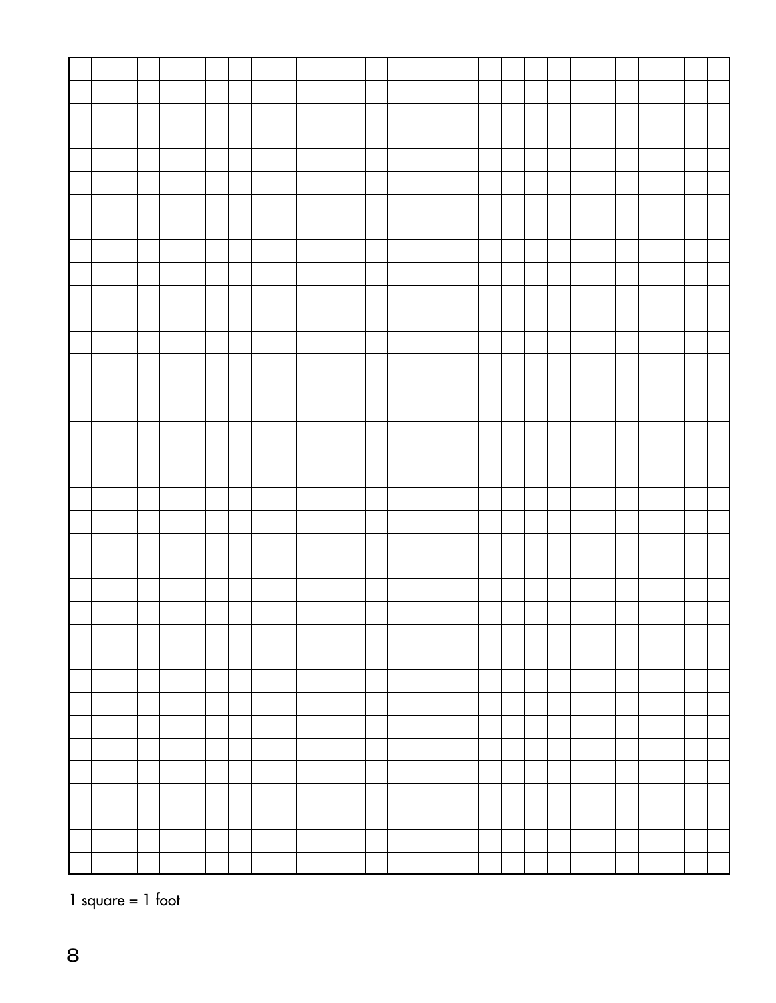

1 square = 1 foot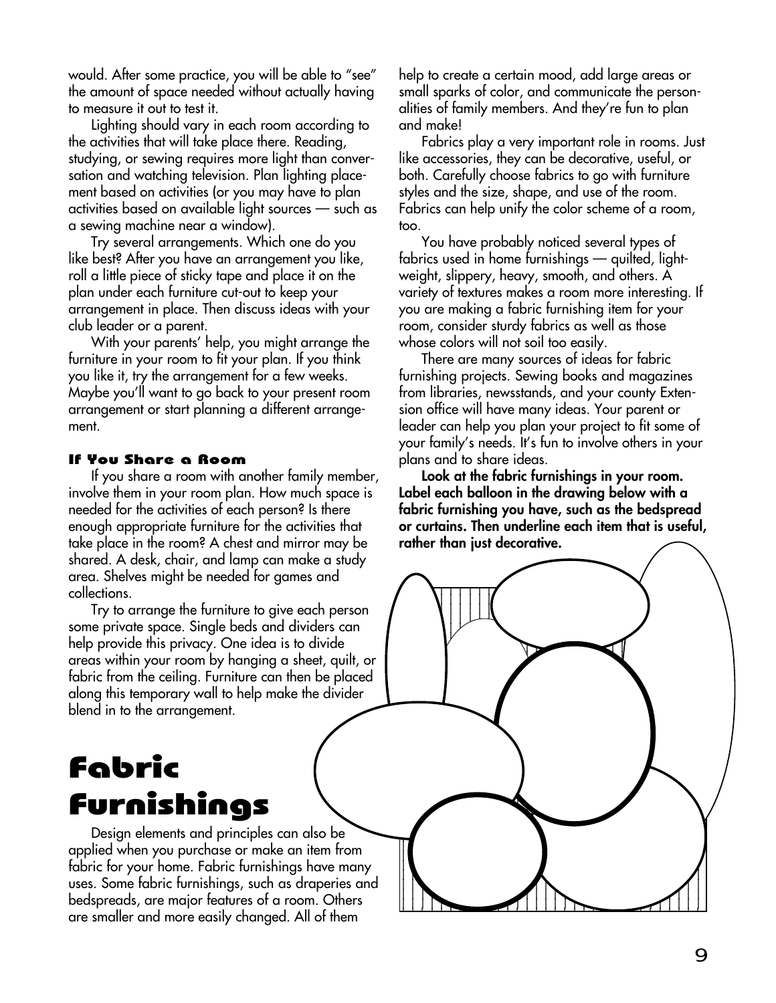would. After some practice, you will be able to "see" the amount of space needed without actually having to measure it out to test it.

Lighting should vary in each room according to the activities that will take place there. Reading, studying, or sewing requires more light than conversation and watching television. Plan lighting placement based on activities (or you may have to plan activities based on available light sources — such as a sewing machine near a window).

Try several arrangements. Which one do you like best? After you have an arrangement you like, roll a little piece of sticky tape and place it on the plan under each furniture cut-out to keep your arrangement in place. Then discuss ideas with your club leader or a parent.

With your parents' help, you might arrange the furniture in your room to fit your plan. If you think you like it, try the arrangement for a few weeks. Maybe you'll want to go back to your present room arrangement or start planning a different arrangement.

#### If You Share a Room

If you share a room with another family member, involve them in your room plan. How much space is needed for the activities of each person? Is there enough appropriate furniture for the activities that take place in the room? A chest and mirror may be shared. A desk, chair, and lamp can make a study area. Shelves might be needed for games and collections.

Try to arrange the furniture to give each person some private space. Single beds and dividers can help provide this privacy. One idea is to divide areas within your room by hanging a sheet, quilt, or fabric from the ceiling. Furniture can then be placed along this temporary wall to help make the divider blend in to the arrangement.

# Fabric Furnishings

Design elements and principles can also be applied when you purchase or make an item from fabric for your home. Fabric furnishings have many uses. Some fabric furnishings, such as draperies and bedspreads, are major features of a room. Others are smaller and more easily changed. All of them

help to create a certain mood, add large areas or small sparks of color, and communicate the personalities of family members. And they're fun to plan and make!

Fabrics play a very important role in rooms. Just like accessories, they can be decorative, useful, or both. Carefully choose fabrics to go with furniture styles and the size, shape, and use of the room. Fabrics can help unify the color scheme of a room, too.

You have probably noticed several types of fabrics used in home furnishings — quilted, lightweight, slippery, heavy, smooth, and others. A variety of textures makes a room more interesting. If you are making a fabric furnishing item for your room, consider sturdy fabrics as well as those whose colors will not soil too easily.

There are many sources of ideas for fabric furnishing projects. Sewing books and magazines from libraries, newsstands, and your county Extension office will have many ideas. Your parent or leader can help you plan your project to fit some of your family's needs. It's fun to involve others in your plans and to share ideas.

**Look at the fabric furnishings in your room. Label each balloon in the drawing below with a fabric furnishing you have, such as the bedspread or curtains. Then underline each item that is useful, rather than just decorative.**

 $1233458789$ 123456789012345678901234567890121

123456789012345678901234567890121

1 11 12 13 14 15 16 17 18 1 11 a 12 d 11 12 13 14 15 16 17 18 11 a 12 de maio de 1914 de maio de 1914 de maio de 1914 de maio de 1914 de maio de 1914 de maio de 1914 de mai 11 a 12 de maio de 1914 de maio de 1914 de maio de 1914 de maio de 1914 de maio de 1914 de maio de 1914 de mai 11 a 12 de maio de 1914 de maio de 1914 de maio de 1914 de maio de 1914 de maio de 1914 de maio de 1914 de mai 11 a 12 de maio de 1914 de maio de 1914 de maio de 1914 de maio de 1914 de maio de 1914 de maio de 1914 de mai 11 a 12 de maio de 1914 de maio de 1914 de maio de 1914 de maio de 1914 de maio de 1914 de maio de 1914 de mai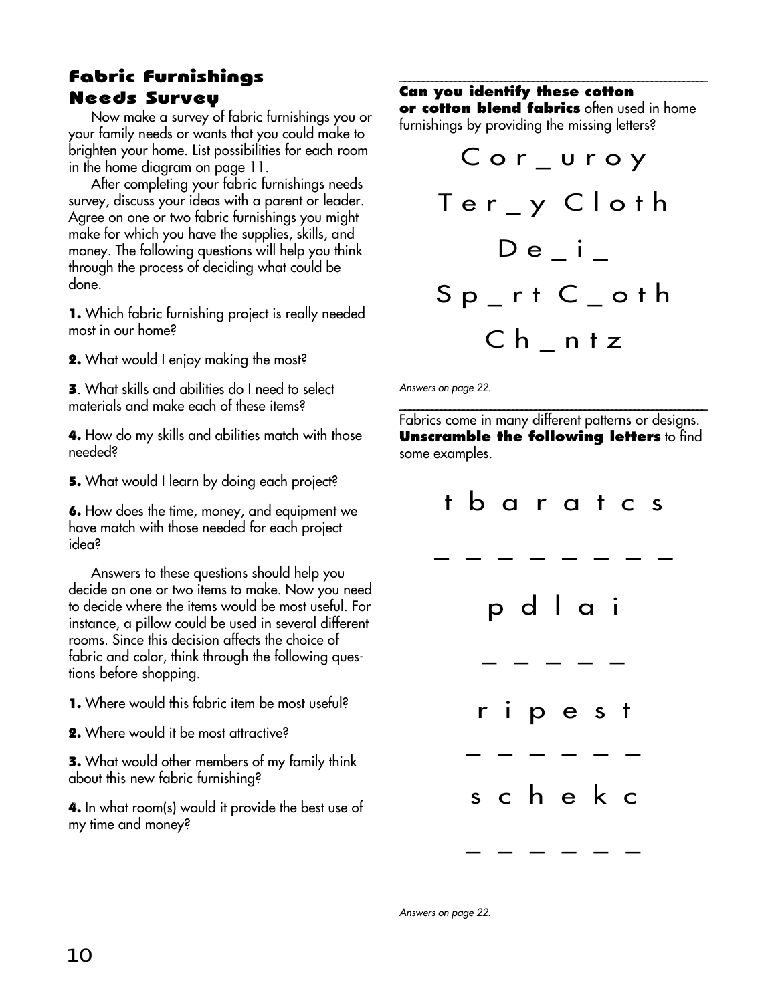### Fabric Furnishings Needs Survey

Now make a survey of fabric furnishings you or your family needs or wants that you could make to brighten your home. List possibilities for each room in the home diagram on page 11.

After completing your fabric furnishings needs survey, discuss your ideas with a parent or leader. Agree on one or two fabric furnishings you might make for which you have the supplies, skills, and money. The following questions will help you think through the process of deciding what could be done.

1. Which fabric furnishing project is really needed most in our home?

2. What would I enjoy making the most?

3. What skills and abilities do I need to select materials and make each of these items?

4. How do my skills and abilities match with those needed?

5. What would I learn by doing each project?

6. How does the time, money, and equipment we have match with those needed for each project idea?

Answers to these questions should help you decide on one or two items to make. Now you need to decide where the items would be most useful. For instance, a pillow could be used in several different rooms. Since this decision affects the choice of fabric and color, think through the following questions before shopping.

- 1. Where would this fabric item be most useful?
- 2. Where would it be most attractive?

3. What would other members of my family think about this new fabric furnishing?

4. In what room(s) would it provide the best use of my time and money?

#### **\_\_\_\_\_\_\_\_\_\_\_\_\_\_\_\_\_\_\_\_\_\_\_\_\_\_\_\_\_\_\_\_\_\_\_\_\_\_\_\_\_\_\_\_\_\_\_\_\_\_\_\_\_\_\_\_\_\_\_\_\_\_\_\_\_\_\_ Can you identify these cotton or cotton blend fabrics** often used in home furnishings by providing the missing letters?

| Cor_uroy                |
|-------------------------|
| Ter_y Cloth             |
| $D e$ i $_{-}$          |
| $Sp_{r}$ rt $C_{r}$ oth |
| Ch ntz                  |

Answers on page 22.

\_\_\_\_\_\_\_\_\_\_\_\_\_\_\_\_\_\_\_\_\_\_\_\_\_\_\_\_\_\_\_\_\_\_\_\_\_\_\_\_\_\_\_\_\_\_\_\_\_\_\_\_\_\_\_\_\_\_\_\_\_\_\_\_\_\_\_\_ Fabrics come in many different patterns or designs. **Unscramble the following letters** to find some examples.

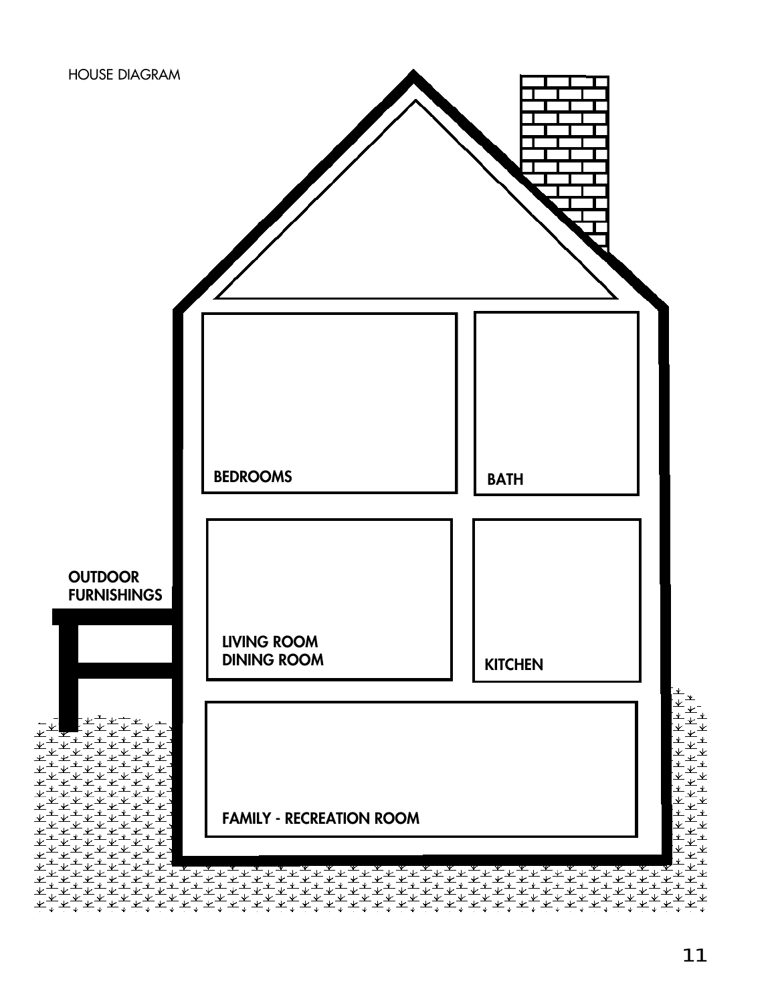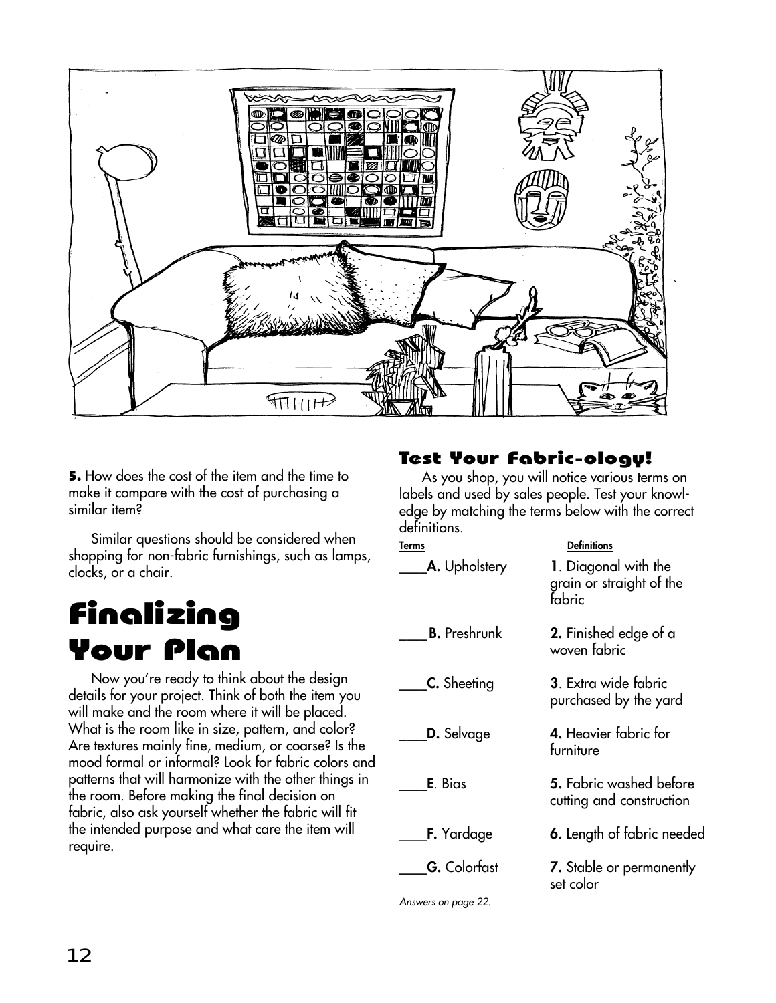

5. How does the cost of the item and the time to make it compare with the cost of purchasing a similar item?

Similar questions should be considered when shopping for non-fabric furnishings, such as lamps, clocks, or a chair.

# Finalizing Your Plan

Now you're ready to think about the design details for your project. Think of both the item you will make and the room where it will be placed. What is the room like in size, pattern, and color? Are textures mainly fine, medium, or coarse? Is the mood formal or informal? Look for fabric colors and patterns that will harmonize with the other things in the room. Before making the final decision on fabric, also ask yourself whether the fabric will fit the intended purpose and what care the item will require.

# Test Your Fabric-ology!

As you shop, you will notice various terms on labels and used by sales people. Test your knowledge by matching the terms below with the correct definitions.

| Terms                | <b>Definitions</b>                                         |
|----------------------|------------------------------------------------------------|
| <b>A.</b> Upholstery | 1. Diagonal with the<br>grain or straight of the<br>fabric |
| <b>B.</b> Preshrunk  | 2. Finished edge of a<br>woven fabric                      |
| C. Sheeting          | <b>3</b> . Extra wide fabric<br>purchased by the yard      |
| <b>D.</b> Selvage    | 4. Heavier fabric for<br>furniture                         |
| E. Bias              | 5. Fabric washed before<br>cutting and construction        |
| <b>F.</b> Yardage    | 6. Length of fabric needed                                 |
| <b>G.</b> Colorfast  | 7. Stable or permanently<br>set color                      |

Answers on page 22.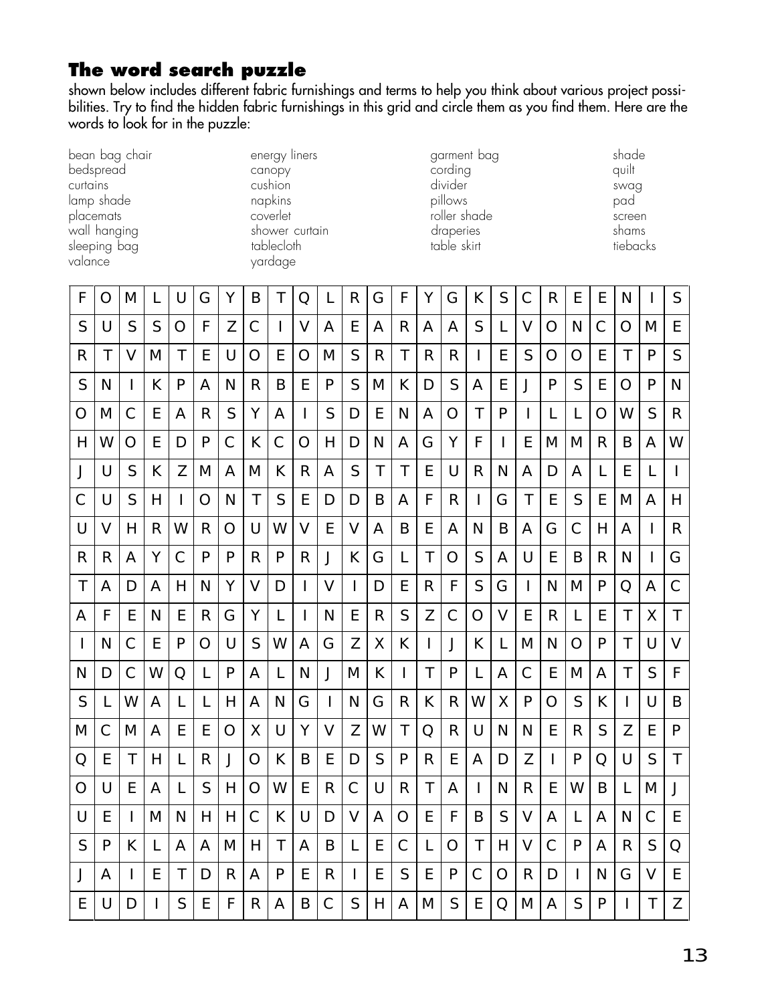# **The word search puzzle**

shown below includes different fabric furnishings and terms to help you think about various project possibilities. Try to find the hidden fabric furnishings in this grid and circle them as you find them. Here are the words to look for in the puzzle:

| bean bag chair |
|----------------|
| bedspread      |
| curtains       |
| lamp shade     |
| placemats      |
| wall hanging   |
| sleeping bag   |
| valance        |
|                |

bedspread canopy cording quilt curtains and some cushion and cushion divider the control of swag lamp shade napkins pillows pillows pad pad powerlet roller shade screen screen wall shower curtain table of the draperies table clusters are shams to bleck the shams to the shams to the shams to the shams to the shams to the shams to the shams to the shams to the shams to the shams to the shams to th sleeping bag tablecloth tablecloth table skirt tiebacks yardage

energy liners and the system of the garment bag shade shade

| F            | O            | M  | L | U            | G | Υ            | B            | Τ            | Q            | L            | R                        | G            | F            | Υ            | G             | К            | S            | Ć            | $\mathsf{R}$ | E            | E            | N |              | S            |
|--------------|--------------|----|---|--------------|---|--------------|--------------|--------------|--------------|--------------|--------------------------|--------------|--------------|--------------|---------------|--------------|--------------|--------------|--------------|--------------|--------------|---|--------------|--------------|
| S            | U            | S  | S | O            | F | Ζ            | $\mathsf{C}$ | <b>I</b>     | $\vee$       | Α            | E                        | A            | R            | Α            | A             | S            | L            | $\vee$       | O            | N            | $\mathsf{C}$ | Ω | M            | E            |
| R            | Τ            | V  | M | Τ            | E | U            | O            | Ε            | O            | M            | S                        | R            | Τ            | R            | R             | $\mathbf{I}$ | E            | S            | O            | Ω            | E            | Τ | P            | S            |
| S            | N            | I  | К | P            | A | N            | R            | B            | E            | $\mathsf{P}$ | S                        | M            | К            | D            | S             | A            | E            | J            | $\mathsf{P}$ | S            | E            | Ω | P            | N            |
| О            | M            | C  | E | A            | R | S            | Υ            | Α            | $\mathbf{I}$ | S            | D                        | E            | N            | Α            | $\bigcirc$    | T            | P            | $\mathsf{I}$ | L            | L            | O            | W | S            | R            |
| H            | W            | O  | E | D            | P | $\mathsf{C}$ | К            | C            | $\bigcirc$   | H            | D                        | N            | A            | G            | Υ             | F            | $\mathbf{I}$ | E            | Μ            | M            | R            | Β | A            | W            |
| J            | U            | S  | К | Z            | M | A            | M            | К            | $\mathsf{R}$ | A            | S                        | $\mathsf{T}$ | $\mathsf{T}$ | E            | U             | $\mathsf{R}$ | N            | A            | D            | A            | L            | E | L            | $\mathsf{I}$ |
| С            | U            | S  | Н | <sup>1</sup> | O | N            | Τ            | S            | E            | D            | D                        | B            | A            | F            | R             | $\mathbf{I}$ | G            | Τ            | E            | S            | E            | M | Α            | Η            |
| U            | V            | Н  | R | W            | R | O            | $\cup$       | W            | V            | E            | $\vee$                   | Α            | B            | E            | Α             | N            | B            | Α            | G            | C            | H            | A | $\mathbf{I}$ | R            |
| R            | R            | A  | Y | $\mathsf{C}$ | P | P            | $\mathsf{R}$ | P            | $\mathsf{R}$ | J            | К                        | G            | L            | T            | $\bigcirc$    | S            | A            | U            | E            | B            | R            | N | $\mathsf{I}$ | G            |
| $\mathsf{T}$ | Α            | D  | Α | H            | N | Υ            | V            | D            | $\mathbf{I}$ | $\vee$       | $\mathsf{I}$             | D            | E            | $\mathsf{R}$ | F             | S            | G            | $\mathsf{I}$ | N            | M            | P            | O | A            | $\mathsf{C}$ |
| Α            | F            | Ε  | N | E            | R | G            | Υ            | $\mathbf{L}$ | $\mathbf{I}$ | N            | Ε                        | R            | S            | Ζ            | $\mathcal{C}$ | O            | V            | Ε            | R            | L            | E            | Τ | Χ            | T            |
| T            | N            | C  | E | P            | O | U            | S            | W            | Α            | G            | Z                        | Χ            | К            | I            | J             | К            | L            | M            | N            | $\bigcirc$   | $\mathsf{P}$ | T | U            | V            |
| $\mathsf{N}$ | D            | C  | W | Q            | L | P            | Α            | L            | N            | J            | M                        | К            | T            | Τ            | P             | L            | Α            | C            | E            | M            | Α            | Τ | S            | F            |
| S            | $\mathbf{L}$ | W  | A | L            | L | H            | Α            | N            | G            | $\mathbf{I}$ | N                        | G            | R            | К            | R             | W            | X            | P            | O            | S            | К            |   | U            | B            |
| Μ            | Ć            | M  | A | E            | E | $\bigcirc$   | Χ            | U            | Y            | V            | Z                        | W            | T            | Q            | R             | U            | N            | N            | E            | R            | S            | Z | E            | P            |
| Q            | E            | T  | H | L            | R | J            | O            | К            | B            | Ε            | D                        | S            | P            | R            | E             | A            | D            | Z            | $\mathbf{I}$ | P            | Q            | U | S            | T            |
| O            | U            | E  | A | L            | S | Н            | O            | W            | E            | R            | $\mathsf{C}$             | U            | R            | Τ            | Α             | $\mathbf{I}$ | N            | R            | E            | W            | B            | L | Μ            | J            |
| U            | E            | J. | M | N            | H | H            | C            | K            | U            | D            | $\vee$                   | A            | $\bigcirc$   | E            | F             | B            | S            | $\vee$       | A            | L            | A            | N | $\mathsf{C}$ | E            |
| S            | P            | К  | L | A            | Α | M            | H            | Τ            | Α            | B            | L                        | E            | $\mathsf{C}$ | L            | O             | Τ            | Н            | V            | С            | P            | Α            | R | S            | Q            |
| J            | A            | I  | E | Τ            | D | R            | Α            | P            | E            | $\mathsf{R}$ | $\overline{\phantom{a}}$ | E            | S            | E            | P             | C            | O            | R            | D            | $\mathbf{I}$ | N            | G | V            | E            |
| E            | U            | D  | L | S            | E | F            | R            | Α            | B            | C            | S                        | Н            | Α            | Μ            | S             | E            | Q            | M            | Α            | S            | P            |   | T            | Ζ            |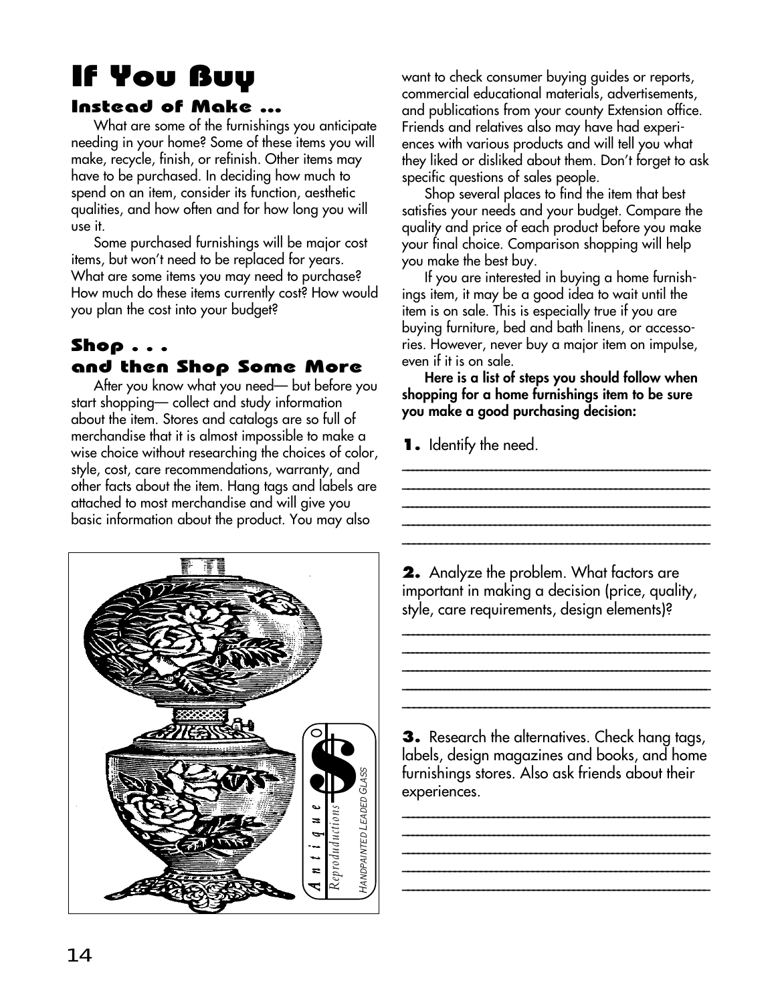# If You Buy

### Instead of Make ...

What are some of the furnishings you anticipate needing in your home? Some of these items you will make, recycle, finish, or refinish. Other items may have to be purchased. In deciding how much to spend on an item, consider its function, aesthetic qualities, and how often and for how long you will use it.

Some purchased furnishings will be major cost items, but won't need to be replaced for years. What are some items you may need to purchase? How much do these items currently cost? How would you plan the cost into your budget?

## Shop . . . and then Shop Some More

After you know what you need— but before you start shopping— collect and study information about the item. Stores and catalogs are so full of merchandise that it is almost impossible to make a wise choice without researching the choices of color, style, cost, care recommendations, warranty, and other facts about the item. Hang tags and labels are attached to most merchandise and will give you basic information about the product. You may also



want to check consumer buying guides or reports, commercial educational materials, advertisements, and publications from your county Extension office. Friends and relatives also may have had experiences with various products and will tell you what they liked or disliked about them. Don't forget to ask specific questions of sales people.

Shop several places to find the item that best satisfies your needs and your budget. Compare the quality and price of each product before you make your final choice. Comparison shopping will help you make the best buy.

If you are interested in buying a home furnishings item, it may be a good idea to wait until the item is on sale. This is especially true if you are buying furniture, bed and bath linens, or accessories. However, never buy a major item on impulse, even if it is on sale.

**Here is a list of steps you should follow when shopping for a home furnishings item to be sure you make a good purchasing decision:**

\_\_\_\_\_\_\_\_\_\_\_\_\_\_\_\_\_\_\_\_\_\_\_\_\_\_\_\_\_\_\_\_\_\_\_\_\_\_\_\_\_\_\_\_\_\_\_\_\_\_\_\_\_\_\_\_\_\_\_\_\_\_\_\_\_\_ \_\_\_\_\_\_\_\_\_\_\_\_\_\_\_\_\_\_\_\_\_\_\_\_\_\_\_\_\_\_\_\_\_\_\_\_\_\_\_\_\_\_\_\_\_\_\_\_\_\_\_\_\_\_\_\_\_\_\_ \_\_\_\_\_\_\_\_\_\_\_\_\_\_\_\_\_\_\_\_\_\_\_\_\_\_\_\_\_\_\_\_\_\_\_\_\_\_\_\_\_\_\_\_\_\_\_\_\_\_\_\_\_\_\_\_\_\_\_\_\_\_\_\_\_\_\_ \_\_\_\_\_\_\_\_\_\_\_\_\_\_\_\_\_\_\_\_\_\_\_\_\_\_\_\_\_\_\_\_\_\_\_\_\_\_\_\_\_\_\_\_\_\_\_\_\_\_\_\_\_\_\_\_\_\_\_\_ \_\_\_\_\_\_\_\_\_\_\_\_\_\_\_\_\_\_\_\_\_\_\_\_\_\_\_\_\_\_\_\_\_\_\_\_\_\_\_\_\_\_\_\_\_\_\_\_\_\_\_\_\_\_\_\_

**1.** Identify the need.

**2.** Analyze the problem. What factors are important in making a decision (price, quality, style, care requirements, design elements)?

\_\_\_\_\_\_\_\_\_\_\_\_\_\_\_\_\_\_\_\_\_\_\_\_\_\_\_\_\_\_\_\_\_\_\_\_\_\_\_\_\_\_\_\_\_\_\_\_\_\_\_\_\_\_\_\_\_\_\_\_\_ **\_\_\_\_\_\_\_\_\_\_\_\_\_\_\_\_\_\_\_\_\_\_\_\_\_\_\_\_\_\_\_\_\_\_\_\_\_\_\_\_\_\_\_\_\_\_\_\_\_\_\_\_\_\_\_\_\_\_\_\_\_\_\_\_\_ \_\_\_\_\_\_\_\_\_\_\_\_\_\_\_\_\_\_\_\_\_\_\_\_\_\_\_\_\_\_\_\_\_\_\_\_\_\_\_\_\_\_\_\_\_\_\_\_\_\_\_\_\_\_\_\_\_\_\_\_\_\_\_\_\_\_ \_\_\_\_\_\_\_\_\_\_\_\_\_\_\_\_\_\_\_\_\_\_\_\_\_\_\_\_\_\_\_\_\_\_\_\_\_\_\_\_\_\_\_\_\_\_\_\_\_\_\_\_\_\_\_\_\_\_\_\_\_\_\_\_\_\_\_\_\_\_\_\_\_\_\_ \_\_\_\_\_\_\_\_\_\_\_\_\_\_\_\_\_\_\_\_\_\_\_\_\_\_\_\_\_\_\_\_\_\_\_\_\_\_\_\_\_\_\_\_\_\_\_\_\_\_\_\_\_\_\_\_**

**3.** Research the alternatives. Check hang tags, labels, design magazines and books, and home furnishings stores. Also ask friends about their experiences.

\_\_\_\_\_\_\_\_\_\_\_\_\_\_\_\_\_\_\_\_\_\_\_\_\_\_\_\_\_\_\_\_\_\_\_\_\_\_\_\_\_\_\_\_\_\_\_\_\_\_\_\_\_\_\_\_\_\_\_\_\_ **\_\_\_\_\_\_\_\_\_\_\_\_\_\_\_\_\_\_\_\_\_\_\_\_\_\_\_\_\_\_\_\_\_\_\_\_\_\_\_\_\_\_\_\_\_\_\_\_\_\_\_\_\_\_\_\_\_\_\_\_\_\_\_\_ \_\_\_\_\_\_\_\_\_\_\_\_\_\_\_\_\_\_\_\_\_\_\_\_\_\_\_\_\_\_\_\_\_\_\_\_\_\_\_\_\_\_\_\_\_\_\_\_\_\_\_\_\_\_\_\_\_\_\_\_ \_\_\_\_\_\_\_\_\_\_\_\_\_\_\_\_\_\_\_\_\_\_\_\_\_\_\_\_\_\_\_\_\_\_\_\_\_\_\_\_\_\_\_\_\_\_\_\_\_\_\_\_\_\_\_\_\_\_\_**

**\_\_\_\_\_\_\_\_\_\_\_\_\_\_\_\_\_\_\_\_\_\_\_\_\_\_\_\_\_\_\_\_\_\_\_\_\_\_\_\_\_\_\_\_\_\_\_\_\_\_\_\_\_\_\_\_\_\_\_\_\_**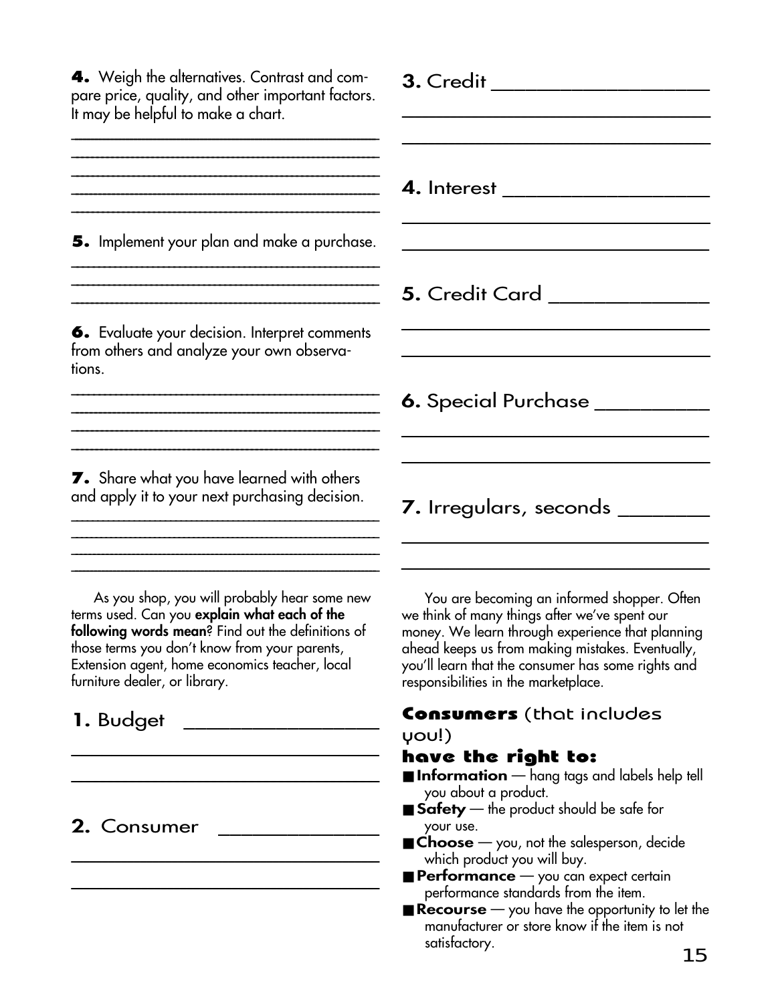**3.** Credit \_\_\_\_\_\_\_\_\_\_\_\_\_\_\_\_\_\_\_ \_\_\_\_\_\_\_\_\_\_\_\_\_\_\_\_\_\_\_\_\_\_\_\_\_\_\_\_\_\_\_\_\_\_\_\_\_\_\_\_\_\_\_ \_\_\_\_\_\_\_\_\_\_\_\_\_\_\_\_\_\_\_\_\_\_\_\_\_\_\_\_\_\_\_\_\_\_\_\_\_\_\_\_\_\_\_\_\_ **4.** Interest \_\_\_\_\_\_\_\_\_\_\_\_\_\_\_\_\_\_ \_\_\_\_\_\_\_\_\_\_\_\_\_\_\_\_\_\_\_\_\_\_\_\_\_\_\_\_\_  $\mathcal{L}_\text{max} = \mathcal{L}_\text{max} = \mathcal{L}_\text{max} = \mathcal{L}_\text{max} = \mathcal{L}_\text{max} = \mathcal{L}_\text{max} = \mathcal{L}_\text{max}$ **5.** Credit Card \_\_\_\_\_\_\_\_\_\_\_\_\_\_ \_\_\_\_\_\_\_\_\_\_\_\_\_\_\_\_\_\_\_\_\_\_\_\_\_\_\_\_\_\_\_\_\_\_\_\_\_\_\_\_\_\_\_\_\_\_\_ \_\_\_\_\_\_\_\_\_\_\_\_\_\_\_\_\_\_\_\_\_\_\_\_\_\_\_\_\_\_\_\_\_\_\_\_\_\_\_\_\_\_\_\_\_\_\_\_\_\_\_ **6.** Special Purchase \_\_\_\_\_\_\_\_\_\_ \_\_\_\_\_\_\_\_\_\_\_\_\_\_\_\_\_\_\_\_\_\_\_\_\_\_\_\_\_\_\_\_\_\_\_\_\_\_\_\_\_\_\_\_\_\_\_\_\_\_\_\_\_\_\_\_\_\_\_\_\_\_\_\_ \_\_\_\_\_\_\_\_\_\_\_\_\_\_\_\_\_\_\_\_\_\_\_\_\_\_\_\_\_\_\_\_\_\_\_\_\_\_\_\_\_\_\_\_\_\_\_\_\_\_ **7.** Irregulars, seconds \_\_\_\_\_\_\_\_\_\_\_\_\_\_\_\_\_\_\_\_\_\_\_\_\_\_\_\_\_\_\_\_\_\_\_\_\_\_\_\_\_\_\_\_\_\_\_\_\_\_\_\_\_\_ \_\_\_\_\_\_\_\_\_\_\_\_\_\_\_\_\_\_\_\_\_\_\_\_\_\_\_\_\_\_\_\_\_\_\_\_\_\_\_\_\_\_\_\_\_\_\_\_\_\_ You are becoming an informed shopper. Often we think of many things after we've spent our money. We learn through experience that planning ahead keeps us from making mistakes. Eventually, you'll learn that the consumer has some rights and responsibilities in the marketplace. **4.** Weigh the alternatives. Contrast and compare price, quality, and other important factors. It may be helpful to make a chart. \_\_\_\_\_\_\_\_\_\_\_\_\_\_\_\_\_\_\_\_\_\_\_\_\_\_\_\_\_\_\_\_\_\_\_\_\_\_\_\_\_\_\_\_\_\_\_\_\_\_\_\_\_\_\_\_\_\_\_\_\_\_\_\_\_\_\_\_\_\_\_\_\_\_\_\_\_\_ \_\_\_\_\_\_\_\_\_\_\_\_\_\_\_\_\_\_\_\_\_\_\_\_\_\_\_\_\_\_\_\_\_\_\_\_\_\_\_\_\_\_\_\_\_\_\_\_\_\_\_\_\_\_\_\_\_\_\_\_\_ \_\_\_\_\_\_\_\_\_\_\_\_\_\_\_\_\_\_\_\_\_\_\_\_\_\_\_\_\_\_\_\_\_\_\_\_\_\_\_\_\_\_\_\_\_\_\_\_\_\_\_\_\_\_\_\_\_\_\_\_ \_\_\_\_\_\_\_\_\_\_\_\_\_\_\_\_\_\_\_\_\_\_\_\_\_\_\_\_\_\_\_\_\_\_\_\_\_\_\_\_\_\_\_\_\_\_\_\_\_\_\_\_\_\_\_\_\_\_\_\_ **5.** Implement your plan and make a purchase. \_\_\_\_\_\_\_\_\_\_\_\_\_\_\_\_\_\_\_\_\_\_\_\_\_\_\_\_\_\_\_\_\_\_\_\_\_\_\_\_\_\_\_\_\_\_\_\_\_\_\_\_\_\_\_\_\_ \_\_\_\_\_\_\_\_\_\_\_\_\_\_\_\_\_\_\_\_\_\_\_\_\_\_\_\_\_\_\_\_\_\_\_\_\_\_\_\_\_\_\_\_\_\_\_\_\_\_\_\_\_\_\_\_\_\_ \_\_\_\_\_\_\_\_\_\_\_\_\_\_\_\_\_\_\_\_\_\_\_\_\_\_\_\_\_\_\_\_\_\_\_\_\_\_\_\_\_\_\_\_\_\_\_\_\_\_\_\_\_\_\_\_\_\_\_\_\_\_ **6.** Evaluate your decision. Interpret comments from others and analyze your own observations. \_\_\_\_\_\_\_\_\_\_\_\_\_\_\_\_\_\_\_\_\_\_\_\_\_\_\_\_\_\_\_\_\_\_\_\_\_\_\_\_\_\_\_\_\_\_\_\_\_\_\_\_\_\_\_\_ **\_\_\_\_\_\_\_\_\_\_\_\_\_\_\_\_\_\_\_\_\_\_\_\_\_\_\_\_\_\_\_\_\_\_\_\_\_\_\_\_\_\_\_\_\_\_\_\_\_\_\_\_\_\_\_\_\_\_\_\_\_\_\_\_\_\_ \_\_\_\_\_\_\_\_\_\_\_\_\_\_\_\_\_\_\_\_\_\_\_\_\_\_\_\_\_\_\_\_\_\_\_\_\_\_\_\_\_\_\_\_\_\_\_\_\_\_\_\_\_\_\_\_\_\_\_\_\_\_ \_\_\_\_\_\_\_\_\_\_\_\_\_\_\_\_\_\_\_\_\_\_\_\_\_\_\_\_\_\_\_\_\_\_\_\_\_\_\_\_\_\_\_\_\_\_\_\_\_\_\_\_\_\_\_\_\_\_\_\_\_\_\_ 7.** Share what you have learned with others and apply it to your next purchasing decision. \_\_\_\_\_\_\_\_\_\_\_\_\_\_\_\_\_\_\_\_\_\_\_\_\_\_\_\_\_\_\_\_\_\_\_\_\_\_\_\_\_\_\_\_\_\_\_\_\_\_\_\_\_\_\_\_\_\_\_ \_\_\_\_\_\_\_\_\_\_\_\_\_\_\_\_\_\_\_\_\_\_\_\_\_\_\_\_\_\_\_\_\_\_\_\_\_\_\_\_\_\_\_\_\_\_\_\_\_\_\_\_\_\_\_\_\_\_\_\_\_\_\_ \_\_\_\_\_\_\_\_\_\_\_\_\_\_\_\_\_\_\_\_\_\_\_\_\_\_\_\_\_\_\_\_\_\_\_\_\_\_\_\_\_\_\_\_\_\_\_\_\_\_\_\_\_\_\_\_\_\_\_\_\_\_\_\_\_\_\_\_\_\_ \_\_\_\_\_\_\_\_\_\_\_\_\_\_\_\_\_\_\_\_\_\_\_\_\_\_\_\_\_\_\_\_\_\_\_\_\_\_\_\_\_\_\_\_\_\_\_\_\_\_\_\_\_\_\_\_\_\_\_\_\_\_\_\_\_\_\_\_\_\_\_\_\_\_\_\_\_\_\_\_ As you shop, you will probably hear some new terms used. Can you **explain what each of the following words mean**? Find out the definitions of those terms you don't know from your parents, Extension agent, home economics teacher, local furniture dealer, or library.

# **1.** Budget

# **2.** Consumer \_\_\_\_\_\_\_\_\_\_\_\_\_\_

\_\_\_\_\_\_\_\_\_\_\_\_\_\_\_\_\_\_\_\_\_\_\_\_\_\_\_\_\_\_\_

\_\_\_\_\_\_\_\_\_\_\_\_\_\_\_\_\_\_\_\_\_\_\_\_\_\_\_\_\_\_\_\_\_\_\_\_\_\_\_\_\_

\_\_\_\_\_\_\_\_\_\_\_\_\_\_\_\_\_\_\_\_\_\_\_\_\_\_\_\_\_\_\_\_\_\_\_\_\_\_\_\_\_\_\_\_\_\_\_\_

\_\_\_\_\_\_\_\_\_\_\_\_\_\_\_\_\_\_\_\_\_\_\_\_\_\_\_\_\_\_\_\_\_\_\_\_\_\_\_\_\_\_\_\_\_\_\_

### Consumers (that includes you!)

## have the right to:

- **Information** hang tags and labels help tell you about a product.
- Safety the product should be safe for your use.
- Choose you, not the salesperson, decide which product you will buy.
- **Performance** you can expect certain performance standards from the item.
- **Recourse** you have the opportunity to let the manufacturer or store know if the item is not satisfactory.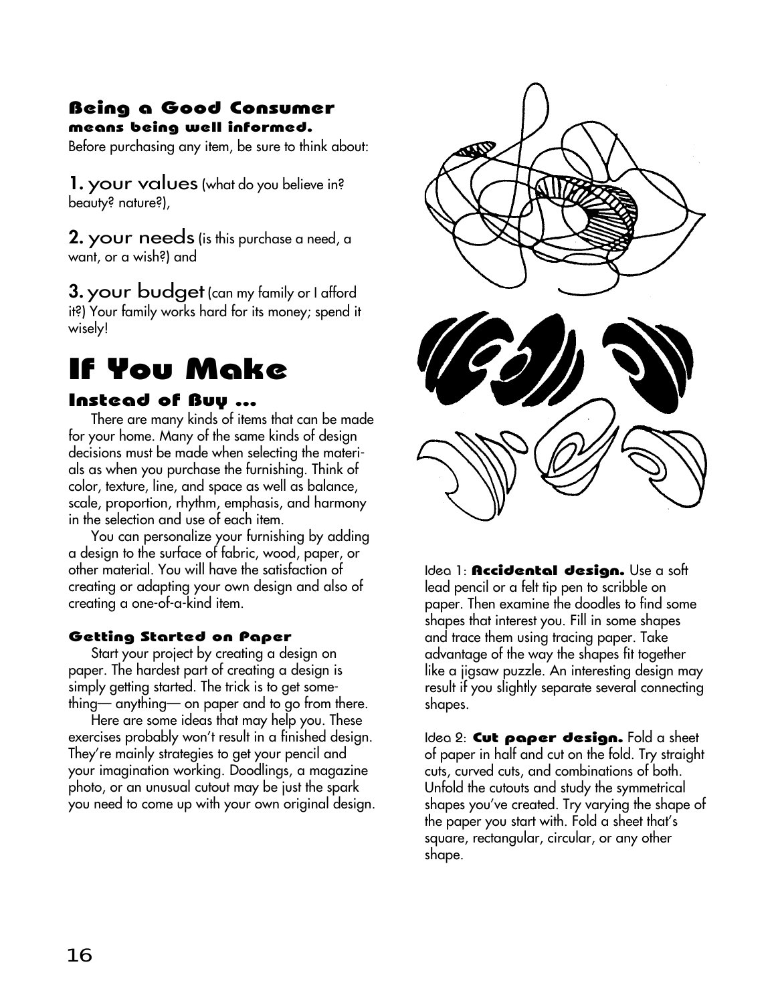#### Being a Good Consumer means being well informed.

Before purchasing any item, be sure to think about:

**1.** your values (what do you believe in? beauty? nature?),

**2.** your needs (is this purchase a need, a want, or a wish?) and

**3.** your budget (can my family or I afford it?) Your family works hard for its money; spend it wisely!

# If You Make

#### Instead of Buy ...

There are many kinds of items that can be made for your home. Many of the same kinds of design decisions must be made when selecting the materials as when you purchase the furnishing. Think of color, texture, line, and space as well as balance, scale, proportion, rhythm, emphasis, and harmony in the selection and use of each item.

You can personalize your furnishing by adding a design to the surface of fabric, wood, paper, or other material. You will have the satisfaction of creating or adapting your own design and also of creating a one-of-a-kind item.

#### Getting Started on Paper

Start your project by creating a design on paper. The hardest part of creating a design is simply getting started. The trick is to get something— anything— on paper and to go from there.

Here are some ideas that may help you. These exercises probably won't result in a finished design. They're mainly strategies to get your pencil and your imagination working. Doodlings, a magazine photo, or an unusual cutout may be just the spark you need to come up with your own original design.



Idea 1: **Accidental design.** Use a soft lead pencil or a felt tip pen to scribble on paper. Then examine the doodles to find some shapes that interest you. Fill in some shapes and trace them using tracing paper. Take advantage of the way the shapes fit together like a jigsaw puzzle. An interesting design may result if you slightly separate several connecting shapes.

Idea 2: Cut paper design. Fold a sheet of paper in half and cut on the fold. Try straight cuts, curved cuts, and combinations of both. Unfold the cutouts and study the symmetrical shapes you've created. Try varying the shape of the paper you start with. Fold a sheet that's square, rectangular, circular, or any other shape.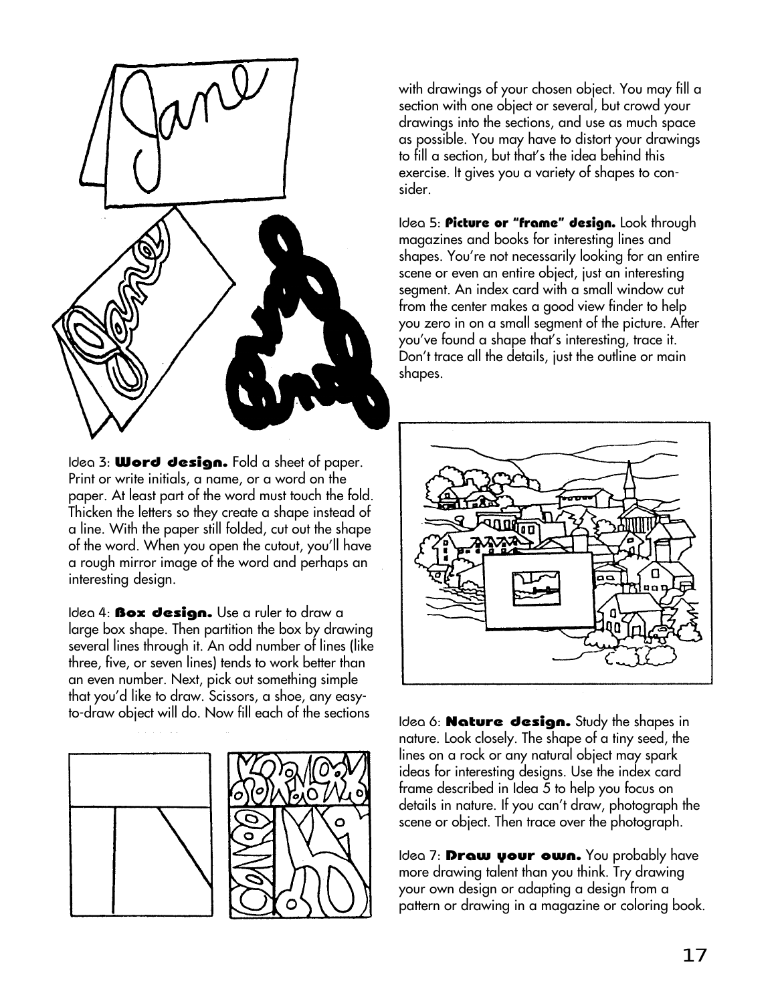

Idea 3: **Word design.** Fold a sheet of paper. Print or write initials, a name, or a word on the paper. At least part of the word must touch the fold. Thicken the letters so they create a shape instead of a line. With the paper still folded, cut out the shape of the word. When you open the cutout, you'll have a rough mirror image of the word and perhaps an interesting design.

Idea 4: **Box design.** Use a ruler to draw a large box shape. Then partition the box by drawing several lines through it. An odd number of lines (like three, five, or seven lines) tends to work better than an even number. Next, pick out something simple that you'd like to draw. Scissors, a shoe, any easyto-draw object will do. Now fill each of the sections Idea 6: **Nature design.** Study the shapes in





with drawings of your chosen object. You may fill a section with one object or several, but crowd your drawings into the sections, and use as much space as possible. You may have to distort your drawings to fill a section, but that's the idea behind this exercise. It gives you a variety of shapes to consider.

Idea 5: Picture or "frame" design. Look through magazines and books for interesting lines and shapes. You're not necessarily looking for an entire scene or even an entire object, just an interesting segment. An index card with a small window cut from the center makes a good view finder to help you zero in on a small segment of the picture. After you've found a shape that's interesting, trace it. Don't trace all the details, just the outline or main shapes.



nature. Look closely. The shape of a tiny seed, the lines on a rock or any natural object may spark ideas for interesting designs. Use the index card frame described in Idea 5 to help you focus on details in nature. If you can't draw, photograph the scene or object. Then trace over the photograph.

Idea 7: **Draw your own.** You probably have more drawing talent than you think. Try drawing your own design or adapting a design from a pattern or drawing in a magazine or coloring book.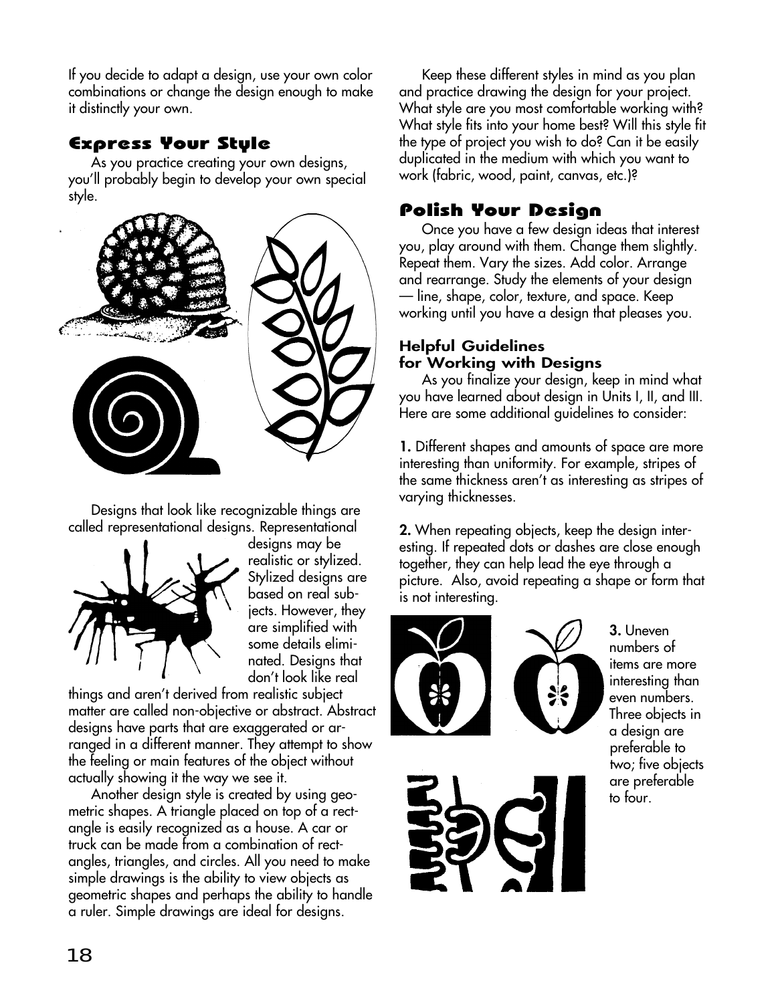If you decide to adapt a design, use your own color combinations or change the design enough to make it distinctly your own.

## Express Your Style

As you practice creating your own designs, you'll probably begin to develop your own special style.



Designs that look like recognizable things are called representational designs. Representational



designs may be realistic or stylized. Stylized designs are based on real subjects. However, they are simplified with some details eliminated. Designs that don't look like real

things and aren't derived from realistic subject matter are called non-objective or abstract. Abstract designs have parts that are exaggerated or arranged in a different manner. They attempt to show the feeling or main features of the object without actually showing it the way we see it.

Another design style is created by using geometric shapes. A triangle placed on top of a rectangle is easily recognized as a house. A car or truck can be made from a combination of rectangles, triangles, and circles. All you need to make simple drawings is the ability to view objects as geometric shapes and perhaps the ability to handle a ruler. Simple drawings are ideal for designs.

Keep these different styles in mind as you plan and practice drawing the design for your project. What style are you most comfortable working with? What style fits into your home best? Will this style fit the type of project you wish to do? Can it be easily duplicated in the medium with which you want to work (fabric, wood, paint, canvas, etc.)?

## Polish Your Design

Once you have a few design ideas that interest you, play around with them. Change them slightly. Repeat them. Vary the sizes. Add color. Arrange and rearrange. Study the elements of your design — line, shape, color, texture, and space. Keep working until you have a design that pleases you.

#### **Helpful Guidelines for Working with Designs**

As you finalize your design, keep in mind what you have learned about design in Units I, II, and III. Here are some additional guidelines to consider:

**1.** Different shapes and amounts of space are more interesting than uniformity. For example, stripes of the same thickness aren't as interesting as stripes of varying thicknesses.

**2.** When repeating objects, keep the design interesting. If repeated dots or dashes are close enough together, they can help lead the eye through a picture. Also, avoid repeating a shape or form that is not interesting.







**3.** Uneven numbers of items are more interesting than even numbers. Three objects in a design are preferable to two; five objects are preferable to four.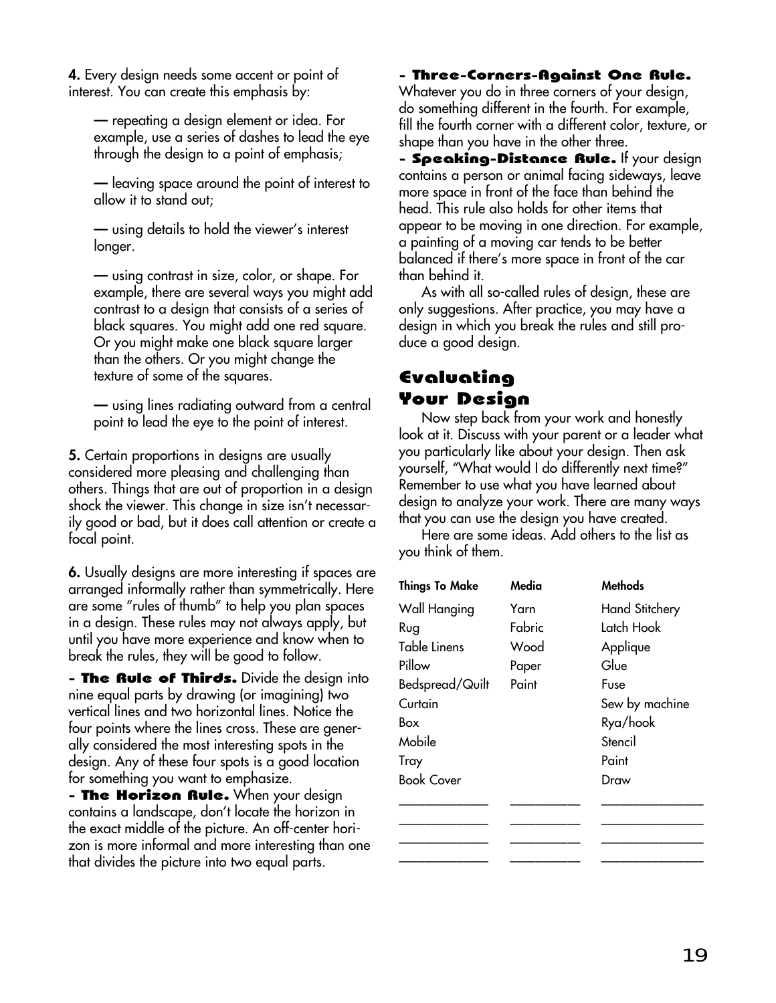**4.** Every design needs some accent or point of interest. You can create this emphasis by:

**—** repeating a design element or idea. For example, use a series of dashes to lead the eye through the design to a point of emphasis;

**—** leaving space around the point of interest to allow it to stand out;

**—** using details to hold the viewer's interest longer.

**—** using contrast in size, color, or shape. For example, there are several ways you might add contrast to a design that consists of a series of black squares. You might add one red square. Or you might make one black square larger than the others. Or you might change the texture of some of the squares.

**—** using lines radiating outward from a central point to lead the eye to the point of interest.

**5.** Certain proportions in designs are usually considered more pleasing and challenging than others. Things that are out of proportion in a design shock the viewer. This change in size isn't necessarily good or bad, but it does call attention or create a focal point.

**6.** Usually designs are more interesting if spaces are arranged informally rather than symmetrically. Here are some "rules of thumb" to help you plan spaces in a design. These rules may not always apply, but until you have more experience and know when to break the rules, they will be good to follow.

**- The Rule of Thirds.** Divide the design into nine equal parts by drawing (or imagining) two vertical lines and two horizontal lines. Notice the four points where the lines cross. These are generally considered the most interesting spots in the design. Any of these four spots is a good location for something you want to emphasize.

- The Horizon Rule. When your design contains a landscape, don't locate the horizon in the exact middle of the picture. An off-center horizon is more informal and more interesting than one that divides the picture into two equal parts.

- Three-Corners-Against One Rule.

Whatever you do in three corners of your design, do something different in the fourth. For example, fill the fourth corner with a different color, texture, or shape than you have in the other three.

- Speaking-Distance Rule. If your design contains a person or animal facing sideways, leave more space in front of the face than behind the head. This rule also holds for other items that appear to be moving in one direction. For example, a painting of a moving car tends to be better balanced if there's more space in front of the car than behind it.

As with all so-called rules of design, these are only suggestions. After practice, you may have a design in which you break the rules and still produce a good design.

### Evaluating Your Design

Now step back from your work and honestly look at it. Discuss with your parent or a leader what you particularly like about your design. Then ask yourself, "What would I do differently next time?" Remember to use what you have learned about design to analyze your work. There are many ways that you can use the design you have created.

Here are some ideas. Add others to the list as you think of them.

| <b>Things To Make</b> | Media  | <b>Methods</b>        |
|-----------------------|--------|-----------------------|
| Wall Hanging          | Yarn   | <b>Hand Stitchery</b> |
| Rug                   | Fabric | Latch Hook            |
| Table Linens          | Wood   | Applique              |
| Pillow                | Paper  | Glue                  |
| Bedspread/Quilt       | Paint  | Fuse                  |
| Curtain               |        | Sew by machine        |
| Box                   |        | Rya/hook              |
| Mobile                |        | Stencil               |
| Tray                  |        | Paint                 |
| <b>Book Cover</b>     |        | Draw                  |
|                       |        |                       |
|                       |        |                       |
|                       |        |                       |
|                       |        |                       |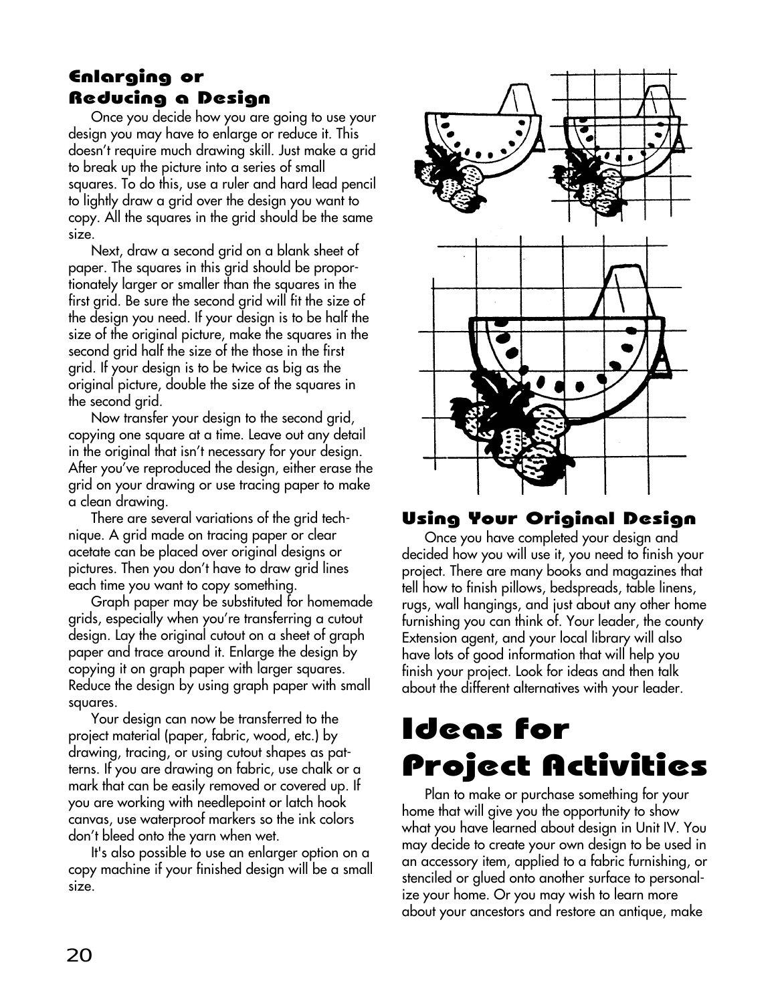# Enlarging or Reducing a Design

Once you decide how you are going to use your design you may have to enlarge or reduce it. This doesn't require much drawing skill. Just make a grid to break up the picture into a series of small squares. To do this, use a ruler and hard lead pencil to lightly draw a grid over the design you want to copy. All the squares in the grid should be the same size.

Next, draw a second grid on a blank sheet of paper. The squares in this grid should be proportionately larger or smaller than the squares in the first grid. Be sure the second grid will fit the size of the design you need. If your design is to be half the size of the original picture, make the squares in the second grid half the size of the those in the first grid. If your design is to be twice as big as the original picture, double the size of the squares in the second grid.

Now transfer your design to the second grid, copying one square at a time. Leave out any detail in the original that isn't necessary for your design. After you've reproduced the design, either erase the grid on your drawing or use tracing paper to make a clean drawing.

There are several variations of the grid technique. A grid made on tracing paper or clear acetate can be placed over original designs or pictures. Then you don't have to draw grid lines each time you want to copy something.

Graph paper may be substituted for homemade grids, especially when you're transferring a cutout design. Lay the original cutout on a sheet of graph paper and trace around it. Enlarge the design by copying it on graph paper with larger squares. Reduce the design by using graph paper with small squares.

Your design can now be transferred to the project material (paper, fabric, wood, etc.) by drawing, tracing, or using cutout shapes as patterns. If you are drawing on fabric, use chalk or a mark that can be easily removed or covered up. If you are working with needlepoint or latch hook canvas, use waterproof markers so the ink colors don't bleed onto the yarn when wet.

It's also possible to use an enlarger option on a copy machine if your finished design will be a small size.



## Using Your Original Design

Once you have completed your design and decided how you will use it, you need to finish your project. There are many books and magazines that tell how to finish pillows, bedspreads, table linens, rugs, wall hangings, and just about any other home furnishing you can think of. Your leader, the county Extension agent, and your local library will also have lots of good information that will help you finish your project. Look for ideas and then talk about the different alternatives with your leader.

# Ideas for Project Activities

Plan to make or purchase something for your home that will give you the opportunity to show what you have learned about design in Unit IV. You may decide to create your own design to be used in an accessory item, applied to a fabric furnishing, or stenciled or glued onto another surface to personalize your home. Or you may wish to learn more about your ancestors and restore an antique, make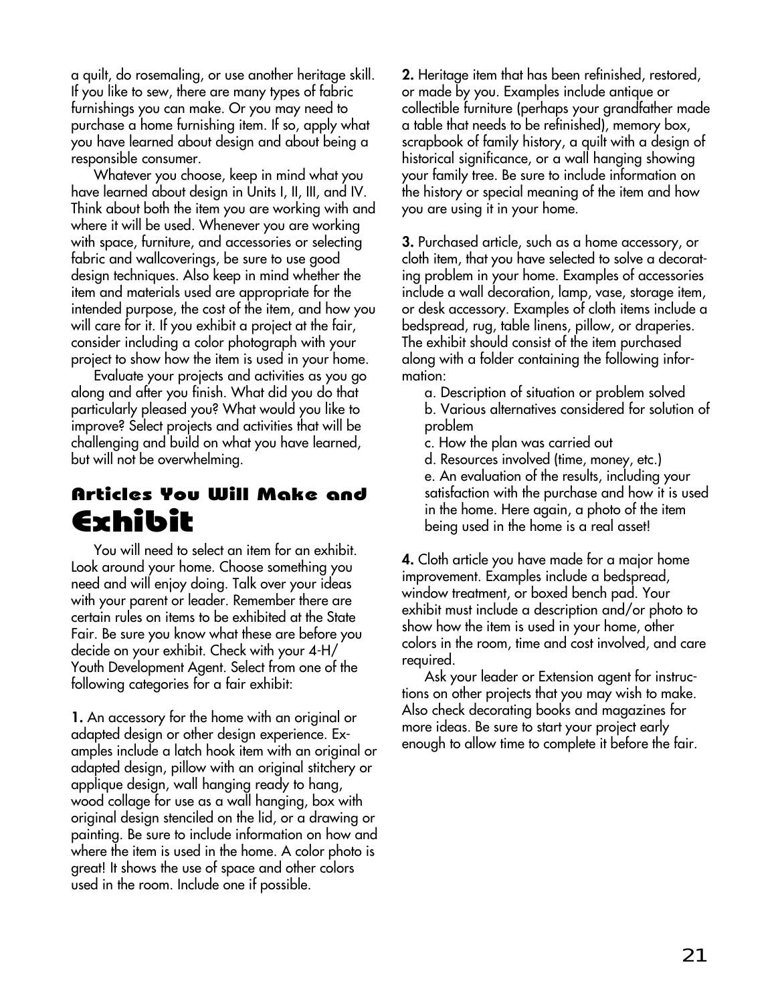a quilt, do rosemaling, or use another heritage skill. If you like to sew, there are many types of fabric furnishings you can make. Or you may need to purchase a home furnishing item. If so, apply what you have learned about design and about being a responsible consumer.

Whatever you choose, keep in mind what you have learned about design in Units I, II, III, and IV. Think about both the item you are working with and where it will be used. Whenever you are working with space, furniture, and accessories or selecting fabric and wallcoverings, be sure to use good design techniques. Also keep in mind whether the item and materials used are appropriate for the intended purpose, the cost of the item, and how you will care for it. If you exhibit a project at the fair, consider including a color photograph with your project to show how the item is used in your home.

Evaluate your projects and activities as you go along and after you finish. What did you do that particularly pleased you? What would you like to improve? Select projects and activities that will be challenging and build on what you have learned, but will not be overwhelming.

# Articles You Will Make and Exhibit

You will need to select an item for an exhibit. Look around your home. Choose something you need and will enjoy doing. Talk over your ideas with your parent or leader. Remember there are certain rules on items to be exhibited at the State Fair. Be sure you know what these are before you decide on your exhibit. Check with your 4-H/ Youth Development Agent. Select from one of the following categories for a fair exhibit:

**1.** An accessory for the home with an original or adapted design or other design experience. Examples include a latch hook item with an original or adapted design, pillow with an original stitchery or applique design, wall hanging ready to hang, wood collage for use as a wall hanging, box with original design stenciled on the lid, or a drawing or painting. Be sure to include information on how and where the item is used in the home. A color photo is great! It shows the use of space and other colors used in the room. Include one if possible.

**2.** Heritage item that has been refinished, restored, or made by you. Examples include antique or collectible furniture (perhaps your grandfather made a table that needs to be refinished), memory box, scrapbook of family history, a quilt with a design of historical significance, or a wall hanging showing your family tree. Be sure to include information on the history or special meaning of the item and how you are using it in your home.

**3.** Purchased article, such as a home accessory, or cloth item, that you have selected to solve a decorating problem in your home. Examples of accessories include a wall decoration, lamp, vase, storage item, or desk accessory. Examples of cloth items include a bedspread, rug, table linens, pillow, or draperies. The exhibit should consist of the item purchased along with a folder containing the following information:

a. Description of situation or problem solved b. Various alternatives considered for solution of problem

- c. How the plan was carried out
- d. Resources involved (time, money, etc.) e. An evaluation of the results, including your satisfaction with the purchase and how it is used in the home. Here again, a photo of the item being used in the home is a real asset!

**4.** Cloth article you have made for a major home improvement. Examples include a bedspread, window treatment, or boxed bench pad. Your exhibit must include a description and/or photo to show how the item is used in your home, other colors in the room, time and cost involved, and care required.

Ask your leader or Extension agent for instructions on other projects that you may wish to make. Also check decorating books and magazines for more ideas. Be sure to start your project early enough to allow time to complete it before the fair.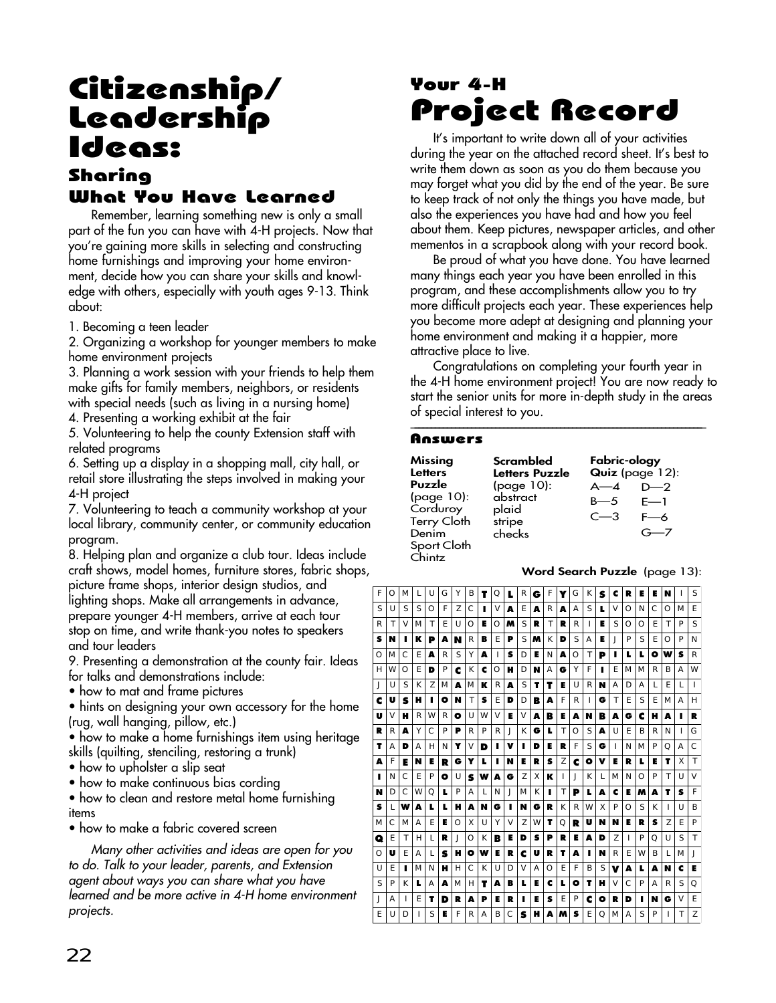# Citizenship/ Leadership Ideas: Sharing

### What You Have Learned

Remember, learning something new is only a small part of the fun you can have with 4-H projects. Now that you're gaining more skills in selecting and constructing home furnishings and improving your home environment, decide how you can share your skills and knowledge with others, especially with youth ages 9-13. Think about:

1. Becoming a teen leader

2. Organizing a workshop for younger members to make home environment projects

3. Planning a work session with your friends to help them make gifts for family members, neighbors, or residents with special needs (such as living in a nursing home)

4. Presenting a working exhibit at the fair

5. Volunteering to help the county Extension staff with related programs

6. Setting up a display in a shopping mall, city hall, or retail store illustrating the steps involved in making your 4-H project

7. Volunteering to teach a community workshop at your local library, community center, or community education program.

8. Helping plan and organize a club tour. Ideas include craft shows, model homes, furniture stores, fabric shops,

picture frame shops, interior design studios, and lighting shops. Make all arrangements in advance, prepare younger 4-H members, arrive at each tour stop on time, and write thank-you notes to speakers and tour leaders

9. Presenting a demonstration at the county fair. Ideas for talks and demonstrations include:

• how to mat and frame pictures

• hints on designing your own accessory for the home (rug, wall hanging, pillow, etc.)

• how to make a home furnishings item using heritage skills (quilting, stenciling, restoring a trunk)

- how to upholster a slip seat
- how to make continuous bias cording

• how to clean and restore metal home furnishing items

• how to make a fabric covered screen

Many other activities and ideas are open for you to do. Talk to your leader, parents, and Extension agent about ways you can share what you have learned and be more active in 4-H home environment projects.

# Your 4-H Project Record

It's important to write down all of your activities during the year on the attached record sheet. It's best to write them down as soon as you do them because you may forget what you did by the end of the year. Be sure to keep track of not only the things you have made, but also the experiences you have had and how you feel about them. Keep pictures, newspaper articles, and other mementos in a scrapbook along with your record book.

Be proud of what you have done. You have learned many things each year you have been enrolled in this program, and these accomplishments allow you to try more difficult projects each year. These experiences help you become more adept at designing and planning your home environment and making it a happier, more attractive place to live.

Congratulations on completing your fourth year in the 4-H home environment project! You are now ready to start the senior units for more in-depth study in the areas of special interest to you. \_\_\_\_\_\_\_\_\_\_\_\_\_\_\_\_\_\_\_\_\_\_\_\_\_\_\_\_\_\_\_\_\_\_\_\_\_\_\_\_\_\_\_\_\_\_\_\_\_\_\_\_\_\_\_\_\_\_\_\_\_\_\_\_\_\_\_\_\_\_\_\_

#### Answers

| Missing                                                                                  | Scrambled                                           | Fabric-ology                  |                                               |
|------------------------------------------------------------------------------------------|-----------------------------------------------------|-------------------------------|-----------------------------------------------|
| <b>Letters</b>                                                                           | Letters Puzzle                                      | Quiz (page 12):               |                                               |
| Puzzle<br>(page 10):<br>Corduroy<br><b>Terry Cloth</b><br>Denim<br>Sport Cloth<br>Chintz | (page 10):<br>abstract<br>plaid<br>stripe<br>checks | $A - 4$<br>$B = 5$<br>$C - 3$ | $D-2$<br>$F-1$<br>$F\rightarrow A$<br>$G - 7$ |

#### **Word Search Puzzle** (page 13):

| F | $\Omega$ | M            | L | U            | G | Υ        | B | т      | Q      | L  | R | G | F        | Y | G        | К | S | c | R            | Е | Е  | N      |              | S            |
|---|----------|--------------|---|--------------|---|----------|---|--------|--------|----|---|---|----------|---|----------|---|---|---|--------------|---|----|--------|--------------|--------------|
| S | U        | S            | S | Ω            | F | 7        | C |        | $\vee$ | A  | F | A | R        | A | A        | S | L | V | Ω            | N | C  | Ω      | M            | F            |
| R | Т        | $\vee$       | М | Т            | F | U        | Ω | Е      | ∩      | м  | S | R | Τ        | R | R        | L | E | S | $\Omega$     | Ω | F  | Τ      | P            | S            |
| s | N        | п            | ĸ | P            | A | N        | R | в      | F      | P  | S | м | K        | D | S        | А | Е | J | P            | S | F  | Ω      | P            | N            |
| Ω | M        | $\mathsf{C}$ | E | A            | R | S        | Υ | A      | Ш      | s  | D | Е | N        | A | O        | Τ | P | п | L            | L | ۰  | w      | s            | R            |
| н | W        | $\Omega$     | F | D            | P | c        | K | c      | Ω      | н  | D | N | Α        | G | Υ        | F | п | E | M            | M | R  | B      | Α            | W            |
| J | U        | S            | К | 7            | M | Δ        | M | ĸ      | R      | A  | S | т | т        | Е | U        | R | N | А | D            | А | L  | F      | L            | т            |
| c | U        | S            | н | п            | О | N        | Τ | s      | Ε      | D  | D | B | A        | F | R        | ı | G | Τ | Ε            | S | E. | M      | A            | Н            |
| U | V        | н            | R | W            | R | ۰        | U | W      | V      | Е  | V | A | B        | Е | А        | N | B | A | G            | c | н  | А      |              | R            |
| R | R        | Δ            | Υ | C            | P | P        | R | P      | R      | J. | К | G | L        | Τ | $\Omega$ | S | Δ | U | F            | B | R  | N      | $\mathbf{I}$ | G            |
| т | Α        | D            | Α | н            | N | Y        | V | D      | п      | v  | ı | D | Е        | R | F        | S | G | ı | N            | M | P  | Q      | Α            | C            |
| A | F        | Е            | N | Е            | R | G        | Y | L      |        | N  | Е | R | s        | Z | c        | ۰ | v | Е | R            | L | Е  | т      | X            | $\mathsf{T}$ |
| п | N        | $\mathsf{C}$ | F | P            | ۰ | U        | s | w      | A      | G  | 7 | X | ĸ        | ı | J        | К | L | M | N            | Ω | P  | T      | U            | V            |
| N | D        | $\subset$    | W | Ω            | L | P        | А | L      | N      | J  | M | K | п        | Τ | P        | L | A | c | Е            | M | A  | т      | s            | F            |
| s | L        | w            | A | L            | L | н        | A | N      | G      | п  | N | G | R        | К | R        | W | X | P | Ω            | S | K  | Ш      | U            | B            |
| M | C        | M            | А | F            | Е | $\Omega$ | X | $\cup$ | Υ      | V  | 7 | W | т        | Ω | R        | U | N | N | E            | R | s  | 7      | F            | P            |
| Q | E        | T            | Н | $\mathsf{L}$ | R | J        | Ω | K      | B      | Е  | D | s | P        | R | Е        | A | D | 7 | $\mathsf{I}$ | P | O  | $\cup$ | S            | T            |
| O | U        | E            | Α | L            | s | н        | ۰ | w      | Е      | R  | c | U | R        | т | A        | п | N | R | Ε            | W | B  | L      | M            | J            |
| U | Ε        | п            | М | N            | н | н        | С | К      | U      | D  | V | Α | $\Omega$ | Ε | F        | B | S | v | A            | L | A  | N      | c            | Е            |
| S | P        | K            | L | Α            | A | M        | н | т      | А      | в  | L | Е | c        | L | ۰        | т | н | V | C            | P | Α  | R      | S            | Q            |
| J | А        | $\mathbf{I}$ | Ε | т            | D | R        | A | P      | Е      | R  | ı | Е | s        | Ε | P        | c | ۰ | R | D            | ı | N  | G      | V            | F            |
| Ε | U        | D            | ı | S            | Е | F        | R | A      | B      | С  | s | н | A        | M | s        | Ε | Q | M | Α            | S | P  | п      | T            | Z            |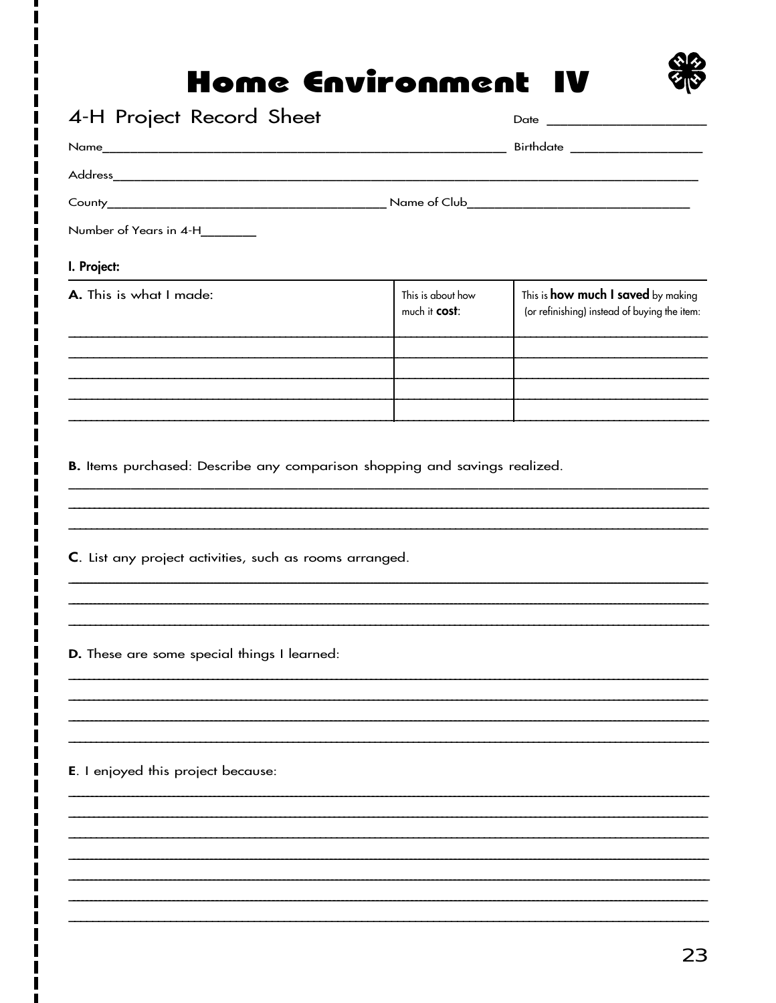# Home Environment IV



|                                                                                                               |                                    | Birthdate _____________________                                                           |
|---------------------------------------------------------------------------------------------------------------|------------------------------------|-------------------------------------------------------------------------------------------|
|                                                                                                               |                                    |                                                                                           |
|                                                                                                               |                                    |                                                                                           |
|                                                                                                               |                                    |                                                                                           |
| Number of Years in 4-H_______                                                                                 |                                    |                                                                                           |
| I. Project:                                                                                                   |                                    |                                                                                           |
| A. This is what I made:                                                                                       | This is about how<br>much it cost: | This is <b>how much I saved</b> by making<br>(or refinishing) instead of buying the item: |
|                                                                                                               |                                    |                                                                                           |
|                                                                                                               |                                    |                                                                                           |
| C. List any project activities, such as rooms arranged.<br><b>D.</b> These are some special things I learned: |                                    |                                                                                           |
|                                                                                                               |                                    |                                                                                           |
| <b>E</b> . I enjoyed this project because:                                                                    |                                    |                                                                                           |
|                                                                                                               |                                    |                                                                                           |
|                                                                                                               |                                    |                                                                                           |
|                                                                                                               |                                    |                                                                                           |